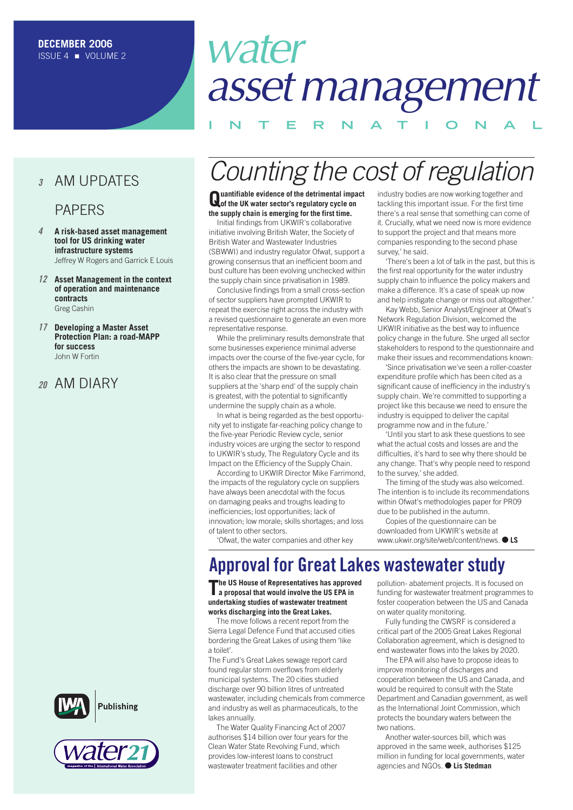### **<sup>3</sup>** AM UPDATES

### PAPERS

- **4 A risk-based asset management tool for US drinking water infrastructure systems** Jeffrey W Rogers and Garrick E Louis
- **12 Asset Management in the context of operation and maintenance contracts** Greg Cashin
- **17 Developing a Master Asset Protection Plan: a road-MAPP for success** John W Fortin

### **<sup>20</sup>** AM DIARY







# water asset management

**INTERNAT IONAL**

## Counting the cost of regulation

**Quantifiable evidence of the detrimental impact of the UK water sector's regulatory cycle on the supply chain is emerging for the first time.**

Initial findings from UKWIR's collaborative initiative involving British Water, the Society of British Water and Wastewater Industries (SBWWI) and industry regulator Ofwat, support a growing consensus that an inefficient boom and bust culture has been evolving unchecked within the supply chain since privatisation in 1989.

Conclusive findings from a small cross-section of sector suppliers have prompted UKWIR to repeat the exercise right across the industry with a revised questionnaire to generate an even more representative response.

While the preliminary results demonstrate that some businesses experience minimal adverse impacts over the course of the five-year cycle, for others the impacts are shown to be devastating. It is also clear that the pressure on small suppliers at the 'sharp end' of the supply chain is greatest, with the potential to significantly undermine the supply chain as a whole.

In what is being regarded as the best opportunity yet to instigate far-reaching policy change to the five-year Periodic Review cycle, senior industry voices are urging the sector to respond to UKWIR's study, The Regulatory Cycle and its Impact on the Efficiency of the Supply Chain.

According to UKWIR Director Mike Farrimond, the impacts of the regulatory cycle on suppliers have always been anecdotal with the focus on damaging peaks and troughs leading to inefficiencies; lost opportunities; lack of innovation; low morale; skills shortages; and loss of talent to other sectors.

'Ofwat, the water companies and other key

industry bodies are now working together and tackling this important issue. For the first time there's a real sense that something can come of it. Crucially, what we need now is more evidence to support the project and that means more companies responding to the second phase survey,' he said.

'There's been a lot of talk in the past, but this is the first real opportunity for the water industry supply chain to influence the policy makers and make a difference. It's a case of speak up now and help instigate change or miss out altogether.'

Kay Webb, Senior Analyst/Engineer at Ofwat's Network Regulation Division, welcomed the UKWIR initiative as the best way to influence policy change in the future. She urged all sector stakeholders to respond to the questionnaire and make their issues and recommendations known:

'Since privatisation we've seen a roller-coaster expenditure profile which has been cited as a significant cause of inefficiency in the industry's supply chain. We're committed to supporting a project like this because we need to ensure the industry is equipped to deliver the capital programme now and in the future.'

'Until you start to ask these questions to see what the actual costs and losses are and the difficulties, it's hard to see why there should be any change. That's why people need to respond to the survey,' she added.

The timing of the study was also welcomed. The intention is to include its recommendations within Ofwat's methodologies paper for PR09 due to be published in the autumn.

Copies of the questionnaire can be downloaded from UKWIR's website at www.ukwir.org/site/web/content/news. ● **LS**

#### **Approval for Great Lakes wastewater study The US House of Representatives has approved a proposal that would involve the US EPA in**

**undertaking studies of wastewater treatment works discharging into the Great Lakes.**

The move follows a recent report from the Sierra Legal Defence Fund that accused cities bordering the Great Lakes of using them 'like a toilet'.

The Fund's Great Lakes sewage report card found regular storm overflows from elderly municipal systems. The 20 cities studied discharge over 90 billion litres of untreated wastewater, including chemicals from commerce and industry as well as pharmaceuticals, to the lakes annually.

The Water Quality Financing Act of 2007 authorises \$14 billion over four years for the Clean Water State Revolving Fund, which provides low-interest loans to construct wastewater treatment facilities and other

pollution- abatement projects. It is focused on funding for wastewater treatment programmes to foster cooperation between the US and Canada on water quality monitoring.

Fully funding the CWSRF is considered a critical part of the 2005 Great Lakes Regional Collaboration agreement, which is designed to end wastewater flows into the lakes by 2020.

The EPA will also have to propose ideas to improve monitoring of discharges and cooperation between the US and Canada, and would be required to consult with the State Department and Canadian government, as well as the International Joint Commission, which protects the boundary waters between the two nations.

Another water-sources bill, which was approved in the same week, authorises \$125 million in funding for local governments, water agencies and NGOs. ● **Lis Stedman**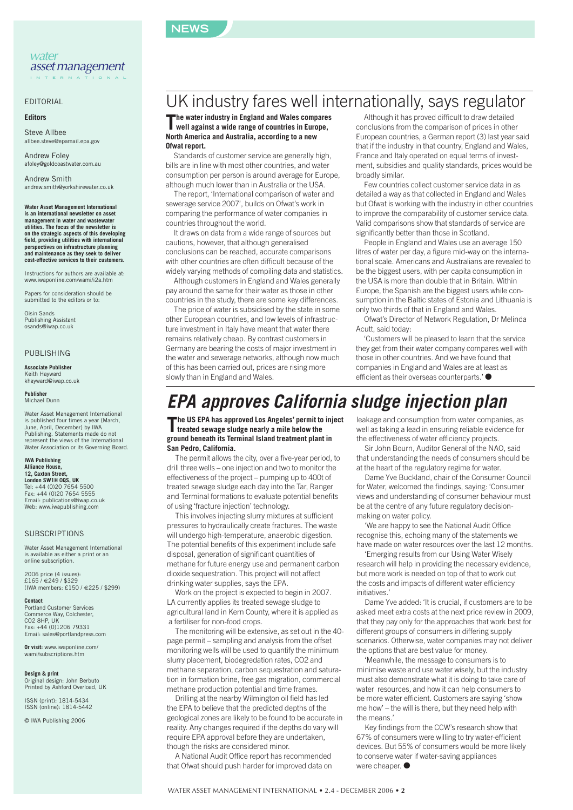

#### EDITORIAL

#### **Editors**

Steve Allbee allbee.steve@epamail.epa.gov

Andrew Foley afoley@goldcoastwater.com.au

Andrew Smith andrew.smith@yorkshirewater.co.uk

**Water Asset Management International is an international newsletter on asset management in water and wastewater utilities. The focus of the newsletter is on the strategic aspects of this developing field, providing utilities with international perspectives on infrastructure planning and maintenance as they seek to deliver cost-effective services to their customers.**

Instructions for authors are available at: www.iwaponline.com/wami/i2a.htm

Papers for consideration should be submitted to the editors or to:

Oisin Sands Publishing Assistant osands@iwap.co.uk

#### PUBLISHING

#### **Associate Publisher**

Keith Hayward khayward@iwap.co.uk

**Publisher** Michael Dunn

Water Asset Management International is published four times a year (March, June, April, December) by IWA Publishing. Statements made do not represent the views of the International Water Association or its Governing Board.

#### **IWA Publishing**

**Alliance House, 12, Caxton Street, London SW1H 0QS, UK** Tel: +44 (0)20 7654 5500 Fax: +44 (0)20 7654 5555 Email: publications@iwap.co.uk Web: www.iwapublishing.com

#### **SUBSCRIPTIONS**

Water Asset Management International is available as either a print or an online subscription.

2006 price (4 issues): £165 / €249 / \$329 (IWA members: £150 / €225 / \$299)

**Contact** Portland Customer Services Commerce Way, Colchester, CO2 8HP, UK Fax: +44 (0)1206 79331 Email: sales@portlandpress.com

**Or visit:** www.iwaponline.com/ wami/subscriptions.htm

**Design & print** Original design: John Berbuto Printed by Ashford Overload, UK

ISSN (print): 1814-5434 ISSN (online): 1814-5442

© IWA Publishing 2006

## UK industry fares well internationally, says regulator

**The water industry in England and Wales compares well against a wide range of countries in Europe, North America and Australia, according to a new Ofwat report.**

Standards of customer service are generally high, bills are in line with most other countries, and water consumption per person is around average for Europe, although much lower than in Australia or the USA.

The report, 'International comparison of water and sewerage service 2007', builds on Ofwat's work in comparing the performance of water companies in countries throughout the world.

It draws on data from a wide range of sources but cautions, however, that although generalised conclusions can be reached, accurate comparisons with other countries are often difficult because of the widely varying methods of compiling data and statistics.

Although customers in England and Wales generally pay around the same for their water as those in other countries in the study, there are some key differences.

The price of water is subsidised by the state in some other European countries, and low levels of infrastructure investment in Italy have meant that water there remains relatively cheap. By contrast customers in Germany are bearing the costs of major investment in the water and sewerage networks, although now much of this has been carried out, prices are rising more slowly than in England and Wales.

Although it has proved difficult to draw detailed conclusions from the comparison of prices in other European countries, a German report (3) last year said that if the industry in that country, England and Wales, France and Italy operated on equal terms of investment, subsidies and quality standards, prices would be broadly similar.

Few countries collect customer service data in as detailed a way as that collected in England and Wales but Ofwat is working with the industry in other countries to improve the comparability of customer service data. Valid comparisons show that standards of service are significantly better than those in Scotland.

People in England and Wales use an average 150 litres of water per day, a figure mid-way on the international scale. Americans and Australians are revealed to be the biggest users, with per capita consumption in the USA is more than double that in Britain. Within Europe, the Spanish are the biggest users while consumption in the Baltic states of Estonia and Lithuania is only two thirds of that in England and Wales.

Ofwat's Director of Network Regulation, Dr Melinda Acutt, said today:

'Customers will be pleased to learn that the service they get from their water company compares well with those in other countries. And we have found that companies in England and Wales are at least as efficient as their overseas counterparts.' ●

## **EPA approves California sludge injection plan**

**The US EPA has approved Los Angeles' permit to inject treated sewage sludge nearly a mile below the ground beneath its Terminal Island treatment plant in San Pedro, California.** 

The permit allows the city, over a five-year period, to drill three wells – one injection and two to monitor the effectiveness of the project – pumping up to 400t of treated sewage sludge each day into the Tar, Ranger and Terminal formations to evaluate potential benefits of using 'fracture injection' technology.

This involves injecting slurry mixtures at sufficient pressures to hydraulically create fractures. The waste will undergo high-temperature, anaerobic digestion. The potential benefits of this experiment include safe disposal, generation of significant quantities of methane for future energy use and permanent carbon dioxide sequestration. This project will not affect drinking water supplies, says the EPA.

Work on the project is expected to begin in 2007. LA currently applies its treated sewage sludge to agricultural land in Kern County, where it is applied as a fertiliser for non-food crops.

The monitoring will be extensive, as set out in the 40 page permit – sampling and analysis from the offset monitoring wells will be used to quantify the minimum slurry placement, biodegredation rates, CO2 and methane separation, carbon sequestration and saturation in formation brine, free gas migration, commercial methane production potential and time frames.

Drilling at the nearby Wilmington oil field has led the EPA to believe that the predicted depths of the geological zones are likely to be found to be accurate in reality. Any changes required if the depths do vary will require EPA approval before they are undertaken, though the risks are considered minor.

A National Audit Office report has recommended that Ofwat should push harder for improved data on leakage and consumption from water companies, as well as taking a lead in ensuring reliable evidence for the effectiveness of water efficiency projects.

Sir John Bourn, Auditor General of the NAO, said that understanding the needs of consumers should be at the heart of the regulatory regime for water.

Dame Yve Buckland, chair of the Consumer Council for Water, welcomed the findings, saying: 'Consumer views and understanding of consumer behaviour must be at the centre of any future regulatory decisionmaking on water policy.

'We are happy to see the National Audit Office recognise this, echoing many of the statements we have made on water resources over the last 12 months.

'Emerging results from our Using Water Wisely research will help in providing the necessary evidence, but more work is needed on top of that to work out the costs and impacts of different water efficiency initiatives.'

Dame Yve added: 'It is crucial, if customers are to be asked meet extra costs at the next price review in 2009, that they pay only for the approaches that work best for different groups of consumers in differing supply scenarios. Otherwise, water companies may not deliver the options that are best value for money.

'Meanwhile, the message to consumers is to minimise waste and use water wisely, but the industry must also demonstrate what it is doing to take care of water resources, and how it can help consumers to be more water efficient. Customers are saying 'show me how' – the will is there, but they need help with the means.'

Key findings from the CCW's research show that 67% of consumers were willing to try water-efficient devices. But 55% of consumers would be more likely to conserve water if water-saving appliances were cheaper. ●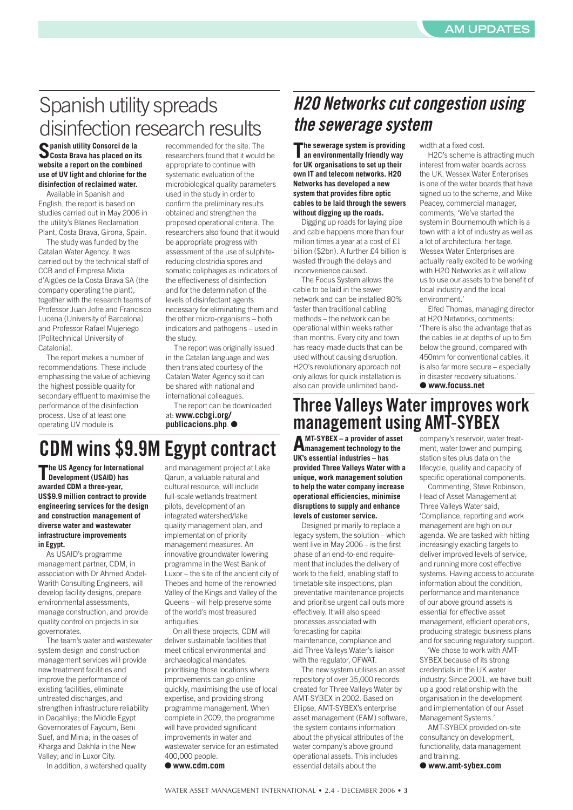## Spanish utility spreads disinfection research results

**Spanish utility Consorci de la Costa Brava has placed on its website a report on the combined use of UV light and chlorine for the disinfection of reclaimed water.**

Available in Spanish and English, the report is based on studies carried out in May 2006 in the utility's Blanes Reclamation Plant, Costa Brava, Girona, Spain.

The study was funded by the Catalan Water Agency. It was carried out by the technical staff of CCB and of Empresa Mixta d'Aigües de la Costa Brava SA (the company operating the plant), together with the research teams of Professor Juan Jofre and Francisco Lucena (University of Barcelona) and Professor Rafael Mujeriego (Politechnical University of Catalonia).

The report makes a number of recommendations. These include emphasising the value of achieving the highest possible quality for secondary effluent to maximise the performance of the disinfection process. Use of at least one operating UV module is

recommended for the site. The researchers found that it would be appropriate to continue with systematic evaluation of the microbiological quality parameters used in the study in order to confirm the preliminary results obtained and strengthen the proposed operational criteria. The researchers also found that it would be appropriate progress with assessment of the use of sulphitereducing clostridia spores and somatic coliphages as indicators of the effectiveness of disinfection and for the determination of the levels of disinfectant agents necessary for eliminating them and the other micro-organisms – both indicators and pathogens – used in the study.

The report was originally issued in the Catalan language and was then translated courtesy of the Catalan Water Agency so it can be shared with national and international colleagues.

The report can be downloaded at: **www.ccbgi.org/ publicacions.php**. ●

## **CDM wins \$9.9M Egypt contract**

**The US Agency for International Development (USAID) has awarded CDM a three-year, US\$9.9 million contract to provide engineering services for the design and construction management of diverse water and wastewater infrastructure improvements in Egypt.** 

As USAID's programme management partner, CDM, in association with Dr Ahmed Abdel-Warith Consulting Engineers, will develop facility designs, prepare environmental assessments, manage construction, and provide quality control on projects in six governorates.

The team's water and wastewater system design and construction management services will provide new treatment facilities and improve the performance of existing facilities, eliminate untreated discharges, and strengthen infrastructure reliability in Daqahliya; the Middle Egypt Governorates of Fayoum, Beni Suef, and Minia; in the oases of Kharga and Dakhla in the New Valley; and in Luxor City.

In addition, a watershed quality

and management project at Lake Qarun, a valuable natural and cultural resource, will include full-scale wetlands treatment pilots, development of an integrated watershed/lake quality management plan, and implementation of priority management measures. An innovative groundwater lowering programme in the West Bank of Luxor – the site of the ancient city of Thebes and home of the renowned Valley of the Kings and Valley of the Queens – will help preserve some of the world's most treasured antiquities.

On all these projects, CDM will deliver sustainable facilities that meet critical environmental and archaeological mandates, prioritising those locations where improvements can go online quickly, maximising the use of local expertise, and providing strong programme management. When complete in 2009, the programme will have provided significant improvements in water and wastewater service for an estimated 400,000 people.

● **www.cdm.com**

## **H2O Networks cut congestion using the sewerage system**

**The sewerage system is providing an environmentally friendly way for UK organisations to set up their own IT and telecom networks. H2O Networks has developed a new system that provides fibre optic cables to be laid through the sewers without digging up the roads.** 

Digging up roads for laying pipe and cable happens more than four million times a year at a cost of £1 billion (\$2bn). A further £4 billion is wasted through the delays and inconvenience caused.

The Focus System allows the cable to be laid in the sewer network and can be installed 80% faster than traditional cabling methods – the network can be operational within weeks rather than months. Every city and town has ready-made ducts that can be used without causing disruption. H2O's revolutionary approach not only allows for quick installation is also can provide unlimited bandwidth at a fixed cost.

H2O's scheme is attracting much interest from water boards across the UK. Wessex Water Enterprises is one of the water boards that have signed up to the scheme, and Mike Peacey, commercial manager, comments, 'We've started the system in Bournemouth which is a town with a lot of industry as well as a lot of architectural heritage. Wessex Water Enterprises are actually really excited to be working with H2O Networks as it will allow us to use our assets to the benefit of local industry and the local environment.'

Elfed Thomas, managing director at H2O Networks, comments: 'There is also the advantage that as the cables lie at depths of up to 5m below the ground, compared with 450mm for conventional cables, it is also far more secure – especially in disaster recovery situations.' ● **www.focuss.net**

### **Three Valleys Water improves work management using AMT-SYBEX**

**AMT-SYBEX – a provider of asset management technology to the UK's essential industries – has provided Three Valleys Water with a unique, work management solution to help the water company increase operational efficiencies, minimise disruptions to supply and enhance levels of customer service.** 

Designed primarily to replace a legacy system, the solution – which went live in May 2006 – is the first phase of an end-to-end requirement that includes the delivery of work to the field, enabling staff to timetable site inspections, plan preventative maintenance projects and prioritise urgent call outs more effectively. It will also speed processes associated with forecasting for capital maintenance, compliance and aid Three Valleys Water's liaison with the regulator, OFWAT.

The new system utilises an asset repository of over 35,000 records created for Three Valleys Water by AMT-SYBEX in 2002. Based on Ellipse, AMT-SYBEX's enterprise asset management (EAM) software, the system contains information about the physical attributes of the water company's above ground operational assets. This includes essential details about the

company's reservoir, water treatment, water tower and pumping station sites plus data on the lifecycle, quality and capacity of specific operational components.

Commenting, Steve Robinson, Head of Asset Management at Three Valleys Water said, 'Compliance, reporting and work management are high on our agenda. We are tasked with hitting increasingly exacting targets to deliver improved levels of service, and running more cost effective systems. Having access to accurate information about the condition, performance and maintenance of our above ground assets is essential for effective asset management, efficient operations, producing strategic business plans and for securing regulatory support.

'We chose to work with AMT-SYBEX because of its strong credentials in the UK water industry. Since 2001, we have built up a good relationship with the organisation in the development and implementation of our Asset Management Systems.'

AMT-SYBEX provided on-site consultancy on development, functionality, data management and training.

● **www.amt-sybex.com**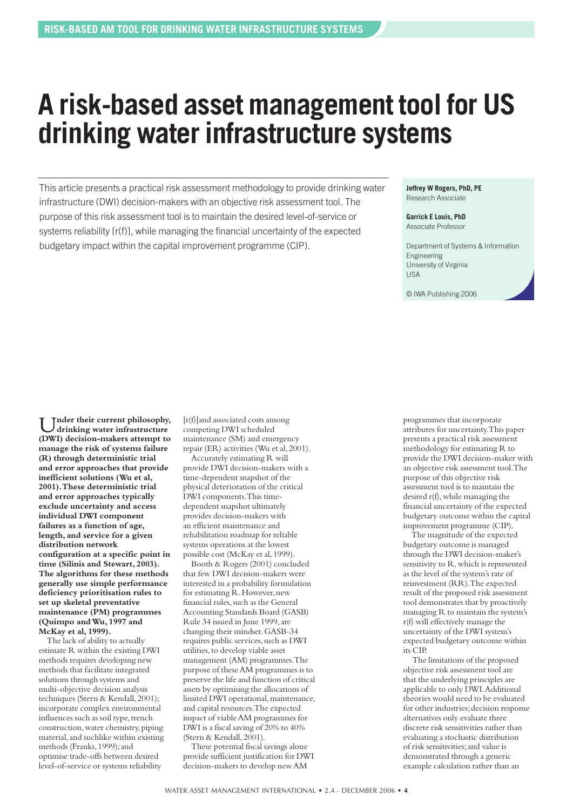## **A risk-based asset management tool for US drinking water infrastructure systems**

This article presents a practical risk assessment methodology to provide drinking water infrastructure (DWI) decision-makers with an objective risk assessment tool. The purpose of this risk assessment tool is to maintain the desired level-of-service or systems reliability [r(f)], while managing the financial uncertainty of the expected budgetary impact within the capital improvement programme (CIP).

**Jeffrey W Rogers, PhD, PE** Research Associate

#### **Garrick E Louis, PhD** Associate Professor

Department of Systems & Information Engineering University of Virginia USA

© IWA Publishing 2006

U**nder their current philosophy, drinking water infrastructure (DWI) decision-makers attempt to manage the risk of systems failure (R) through deterministic trial and error approaches that provide inefficient solutions (Wu et al, 2001). These deterministic trial and error approaches typically exclude uncertainty and access individual DWI component failures as a function of age, length, and service for a given distribution network configuration at a specific point in time (Silinis and Stewart, 2003). The algorithms for these methods generally use simple performance deficiency prioritisation rules to set up skeletal preventative maintenance (PM) programmes (Quimpo and Wu, 1997 and McKay et al, 1999).**

The lack of ability to actually estimate R within the existing DWI methods requires developing new methods that facilitate integrated solutions through systems and multi-objective decision analysis techniques (Stern & Kendall, 2001); incorporate complex environmental influences such as soil type, trench construction, water chemistry, piping material, and suchlike within existing methods (Franks, 1999); and optimise trade-offs between desired level-of-service or systems reliability

[r(f)]and associated costs among competing DWI scheduled maintenance (SM) and emergency repair (ER) activities (Wu et al, 2001).

Accurately estimating R will provide DWI decision-makers with a time-dependent snapshot of the physical deterioration of the critical DWI components. This timedependent snapshot ultimately provides decision-makers with an efficient maintenance and rehabilitation roadmap for reliable systems operations at the lowest possible cost (McKay et al, 1999).

Booth & Rogers (2001) concluded that few DWI decision-makers were interested in a probability formulation for estimating R. However, new financial rules, such as the General Accounting Standards Board (GASB) Rule 34 issued in June 1999, are changing their mindset. GASB-34 requires public services, such as DWI utilities, to develop viable asset management (AM) programmes. The purpose of these AM programmes is to preserve the life and function of critical assets by optimising the allocations of limited DWI operational, maintenance, and capital resources. The expected impact of viable AM programmes for DWI is a fiscal saving of 20% to 40% (Stern & Kendall, 2001).

These potential fiscal savings alone provide sufficient justification for DWI decision-makers to develop new AM

programmes that incorporate attributes for uncertainty. This paper presents a practical risk assessment methodology for estimating R to provide the DWI decision-maker with an objective risk assessment tool. The purpose of this objective risk assessment tool is to maintain the desired r(f), while managing the financial uncertainty of the expected budgetary outcome within the capital improvement programme (CIP).

The magnitude of the expected budgetary outcome is managed through the DWI decision-maker's sensitivity to R, which is represented as the level of the system's rate of reinvestment (RR). The expected result of the proposed risk assessment tool demonstrates that by proactively managing R to maintain the system's r(f) will effectively manage the uncertainty of the DWI system's expected budgetary outcome within its CIP.

The limitations of the proposed objective risk assessment tool are that the underlying principles are applicable to only DWI. Additional theories would need to be evaluated for other industries; decision response alternatives only evaluate three discrete risk sensitivities rather than evaluating a stochastic distribution of risk sensitivities; and value is demonstrated through a generic example calculation rather than an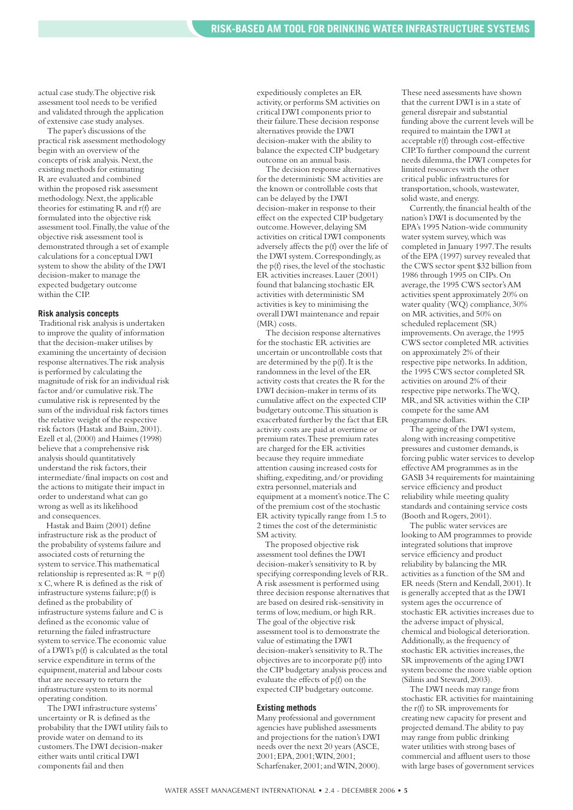actual case study. The objective risk assessment tool needs to be verified and validated through the application of extensive case study analyses.

The paper's discussions of the practical risk assessment methodology begin with an overview of the concepts of risk analysis. Next, the existing methods for estimating R are evaluated and combined within the proposed risk assessment methodology. Next, the applicable theories for estimating  $\overrightarrow{R}$  and  $\overrightarrow{r}$  are formulated into the objective risk assessment tool. Finally, the value of the objective risk assessment tool is demonstrated through a set of example calculations for a conceptual DWI system to show the ability of the DWI decision-maker to manage the expected budgetary outcome within the CIP.

#### **Risk analysis concepts**

Traditional risk analysis is undertaken to improve the quality of information that the decision-maker utilises by examining the uncertainty of decision response alternatives. The risk analysis is performed by calculating the magnitude of risk for an individual risk factor and/or cumulative risk. The cumulative risk is represented by the sum of the individual risk factors times the relative weight of the respective risk factors (Hastak and Baim, 2001). Ezell et al, (2000) and Haimes (1998) believe that a comprehensive risk analysis should quantitatively understand the risk factors, their intermediate/final impacts on cost and the actions to mitigate their impact in order to understand what can go wrong as well as its likelihood and consequences.

Hastak and Baim (2001) define infrastructure risk as the product of the probability of systems failure and associated costs of returning the system to service. This mathematical relationship is represented as:  $R = p(f)$ x C, where R is defined as the risk of infrastructure systems failure; p(f) is defined as the probability of infrastructure systems failure and C is defined as the economic value of returning the failed infrastructure system to service. The economic value of a DWI's p(f) is calculated as the total service expenditure in terms of the equipment, material and labour costs that are necessary to return the infrastructure system to its normal operating condition.

The DWI infrastructure systems' uncertainty or R is defined as the probability that the DWI utility fails to provide water on demand to its customers. The DWI decision-maker either waits until critical DWI components fail and then

expeditiously completes an ER activity, or performs SM activities on critical DWI components prior to their failure. These decision response alternatives provide the DWI decision-maker with the ability to balance the expected CIP budgetary outcome on an annual basis.

The decision response alternatives for the deterministic SM activities are the known or controllable costs that can be delayed by the DWI decision-maker in response to their effect on the expected CIP budgetary outcome. However, delaying SM activities on critical DWI components adversely affects the p(f) over the life of the DWI system. Correspondingly, as the p(f) rises, the level of the stochastic ER activities increases. Lauer (2001) found that balancing stochastic ER activities with deterministic SM activities is key to minimising the overall DWI maintenance and repair (MR) costs.

The decision response alternatives for the stochastic ER activities are uncertain or uncontrollable costs that are determined by the p(f). It is the randomness in the level of the ER activity costs that creates the R for the DWI decision-maker in terms of its cumulative affect on the expected CIP budgetary outcome. This situation is exacerbated further by the fact that ER activity costs are paid at overtime or premium rates. These premium rates are charged for the ER activities because they require immediate attention causing increased costs for shifting, expediting, and/or providing extra personnel, materials and equipment at a moment's notice. The C of the premium cost of the stochastic ER activity typically range from 1.5 to 2 times the cost of the deterministic SM activity.

The proposed objective risk assessment tool defines the DWI decision-maker's sensitivity to R by specifying corresponding levels of RR. A risk assessment is performed using three decision response alternatives that are based on desired risk-sensitivity in terms of low, medium, or high RR. The goal of the objective risk assessment tool is to demonstrate the value of estimating the DWI decision-maker's sensitivity to R. The objectives are to incorporate p(f) into the CIP budgetary analysis process and evaluate the effects of p(f) on the expected CIP budgetary outcome.

#### **Existing methods**

Many professional and government agencies have published assessments and projections for the nation's DWI needs over the next 20 years (ASCE, 2001; EPA, 2001; WIN, 2001; Scharfenaker, 2001; and WIN, 2000).

These need assessments have shown that the current DWI is in a state of general disrepair and substantial funding above the current levels will be required to maintain the DWI at acceptable r(f) through cost-effective CIP. To further compound the current needs dilemma, the DWI competes for limited resources with the other critical public infrastructures for transportation, schools, wastewater, solid waste, and energy.

Currently, the financial health of the nation's DWI is documented by the EPA's 1995 Nation-wide community water system survey, which was completed in January 1997. The results of the EPA (1997) survey revealed that the CWS sector spent \$32 billion from 1986 through 1995 on CIPs. On average, the 1995 CWS sector's AM activities spent approximately 20% on water quality (WQ) compliance, 30% on MR activities, and 50% on scheduled replacement (SR) improvements. On average, the 1995 CWS sector completed MR activities on approximately 2% of their respective pipe networks. In addition, the 1995 CWS sector completed SR activities on around 2% of their respective pipe networks. The WQ, MR, and SR activities within the CIP compete for the same AM programme dollars.

The ageing of the DWI system, along with increasing competitive pressures and customer demands, is forcing public water services to develop effective AM programmes as in the GASB 34 requirements for maintaining service efficiency and product reliability while meeting quality standards and containing service costs (Booth and Rogers, 2001).

The public water services are looking to AM programmes to provide integrated solutions that improve service efficiency and product reliability by balancing the MR activities as a function of the SM and ER needs (Stern and Kendall, 2001). It is generally accepted that as the DWI system ages the occurrence of stochastic ER activities increases due to the adverse impact of physical, chemical and biological deterioration. Additionally, as the frequency of stochastic ER activities increases, the SR improvements of the aging DWI system become the more viable option (Silinis and Steward, 2003).

The DWI needs may range from stochastic ER activities for maintaining the r(f) to SR improvements for creating new capacity for present and projected demand. The ability to pay may range from public drinking water utilities with strong bases of commercial and affluent users to those with large bases of government services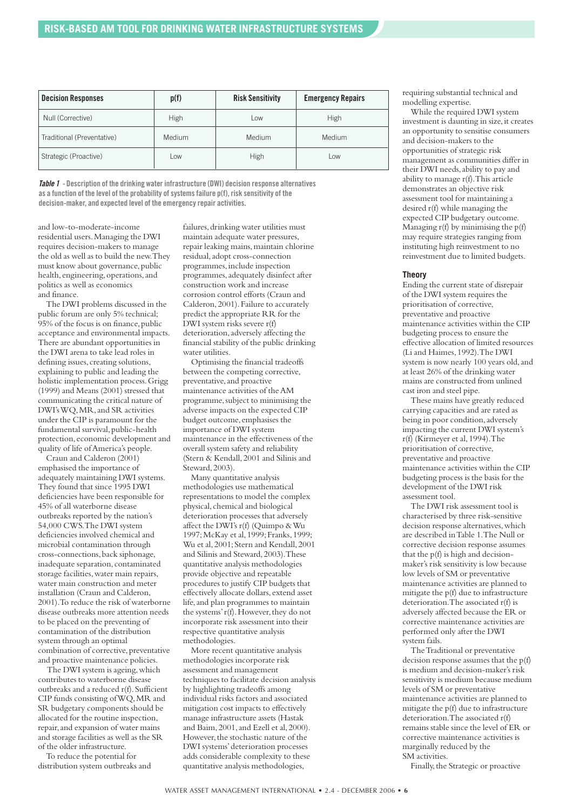| <b>Decision Responses</b>  | p(f)       | <b>Risk Sensitivity</b> | <b>Emergency Repairs</b> |
|----------------------------|------------|-------------------------|--------------------------|
| Null (Corrective)          | High       | Low                     | High                     |
| Traditional (Preventative) | Medium     | Medium                  | Medium                   |
| Strategic (Proactive)      | <b>LOW</b> | High                    | Low                      |

**Table 1 - Description of the drinking water infrastructure (DWI) decision response alternatives as a function of the level of the probability of systems failure p(f), risk sensitivity of the decision-maker, and expected level of the emergency repair activities.** 

and low-to-moderate-income residential users. Managing the DWI requires decision-makers to manage the old as well as to build the new. They must know about governance, public health, engineering, operations, and politics as well as economics and finance.

The DWI problems discussed in the public forum are only 5% technical; 95% of the focus is on finance, public acceptance and environmental impacts. There are abundant opportunities in the DWI arena to take lead roles in defining issues, creating solutions, explaining to public and leading the holistic implementation process. Grigg (1999) and Means (2001) stressed that communicating the critical nature of DWI's WQ, MR, and SR activities under the CIP is paramount for the fundamental survival, public-health protection, economic development and quality of life of America's people.

Craun and Calderon (2001) emphasised the importance of adequately maintaining DWI systems. They found that since 1995 DWI deficiencies have been responsible for 45% of all waterborne disease outbreaks reported by the nation's 54,000 CWS. The DWI system deficiencies involved chemical and microbial contamination through cross-connections, back siphonage, inadequate separation, contaminated storage facilities, water main repairs, water main construction and meter installation (Craun and Calderon, 2001). To reduce the risk of waterborne disease outbreaks more attention needs to be placed on the preventing of contamination of the distribution system through an optimal combination of corrective, preventative and proactive maintenance policies.

The DWI system is ageing, which contributes to waterborne disease outbreaks and a reduced r(f). Sufficient CIP funds consisting of WQ, MR and SR budgetary components should be allocated for the routine inspection, repair, and expansion of water mains and storage facilities as well as the SR of the older infrastructure.

To reduce the potential for distribution system outbreaks and failures, drinking water utilities must maintain adequate water pressures, repair leaking mains, maintain chlorine residual, adopt cross-connection programmes, include inspection programmes, adequately disinfect after construction work and increase corrosion control efforts (Craun and Calderon, 2001). Failure to accurately predict the appropriate RR for the DWI system risks severe r(f) deterioration, adversely affecting the financial stability of the public drinking water utilities.

Optimising the financial tradeoffs between the competing corrective, preventative, and proactive maintenance activities of the AM programme, subject to minimising the adverse impacts on the expected CIP budget outcome, emphasises the importance of DWI system maintenance in the effectiveness of the overall system safety and reliability (Stern & Kendall, 2001 and Silinis and Steward, 2003).

Many quantitative analysis methodologies use mathematical representations to model the complex physical, chemical and biological deterioration processes that adversely affect the DWI's r(f) (Quimpo & Wu 1997; McKay et al, 1999; Franks, 1999; Wu et al, 2001; Stern and Kendall, 2001 and Silinis and Steward, 2003). These quantitative analysis methodologies provide objective and repeatable procedures to justify CIP budgets that effectively allocate dollars, extend asset life, and plan programmes to maintain the systems' r(f). However, they do not incorporate risk assessment into their respective quantitative analysis methodologies.

More recent quantitative analysis methodologies incorporate risk assessment and management techniques to facilitate decision analysis by highlighting tradeoffs among individual risks factors and associated mitigation cost impacts to effectively manage infrastructure assets (Hastak and Baim, 2001, and Ezell et al, 2000). However, the stochastic nature of the DWI systems' deterioration processes adds considerable complexity to these quantitative analysis methodologies,

requiring substantial technical and modelling expertise.

While the required DWI system investment is daunting in size, it creates an opportunity to sensitise consumers and decision-makers to the opportunities of strategic risk management as communities differ in their DWI needs, ability to pay and ability to manage r(f). This article demonstrates an objective risk assessment tool for maintaining a desired r(f) while managing the expected CIP budgetary outcome. Managing  $r(f)$  by minimising the  $p(f)$ may require strategies ranging from instituting high reinvestment to no reinvestment due to limited budgets.

#### **Theory**

Ending the current state of disrepair of the DWI system requires the prioritisation of corrective, preventative and proactive maintenance activities within the CIP budgeting process to ensure the effective allocation of limited resources (Li and Haimes, 1992). The DWI system is now nearly 100 years old, and at least 26% of the drinking water mains are constructed from unlined cast iron and steel pipe.

These mains have greatly reduced carrying capacities and are rated as being in poor condition, adversely impacting the current DWI system's r(f) (Kirmeyer et al, 1994). The prioritisation of corrective, preventative and proactive maintenance activities within the CIP budgeting process is the basis for the development of the DWI risk assessment tool.

The DWI risk assessment tool is characterised by three risk-sensitive decision response alternatives, which are described in Table 1. The Null or corrective decision response assumes that the p(f) is high and decisionmaker's risk sensitivity is low because low levels of SM or preventative maintenance activities are planned to mitigate the p(f) due to infrastructure deterioration. The associated r(f) is adversely affected because the ER or corrective maintenance activities are performed only after the DWI system fails.

The Traditional or preventative decision response assumes that the p(f) is medium and decision-maker's risk sensitivity is medium because medium levels of SM or preventative maintenance activities are planned to mitigate the p(f) due to infrastructure deterioration. The associated r(f) remains stable since the level of ER or corrective maintenance activities is marginally reduced by the SM activities.

Finally, the Strategic or proactive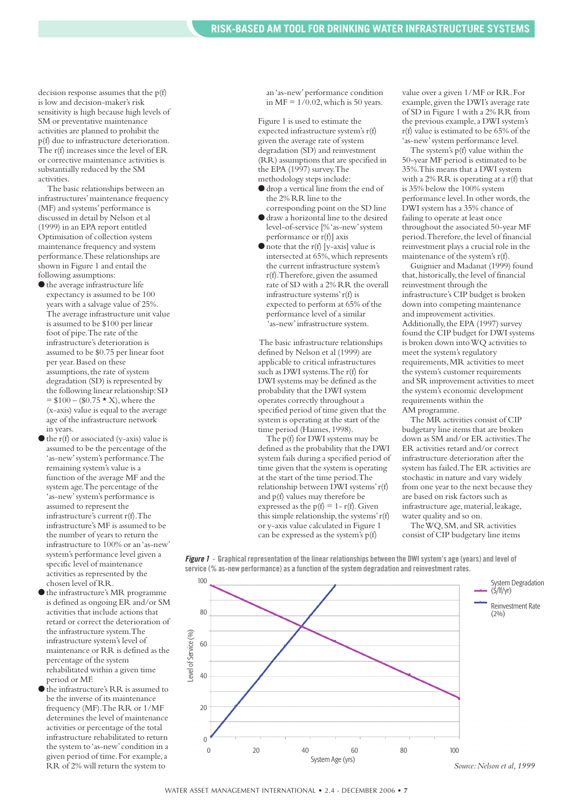decision response assumes that the p(f) is low and decision-maker's risk sensitivity is high because high levels of SM or preventative maintenance activities are planned to prohibit the p(f) due to infrastructure deterioration. The r(f) increases since the level of ER or corrective maintenance activities is substantially reduced by the SM activities.

The basic relationships between an infrastructures' maintenance frequency (MF) and systems' performance is discussed in detail by Nelson et al (1999) in an EPA report entitled Optimisation of collection system maintenance frequency and system performance. These relationships are shown in Figure 1 and entail the following assumptions:

- ●the average infrastructure life expectancy is assumed to be 100 years with a salvage value of 25%. The average infrastructure unit value is assumed to be \$100 per linear foot of pipe. The rate of the infrastructure's deterioration is assumed to be \$0.75 per linear foot per year. Based on these assumptions, the rate of system degradation (SD) is represented by the following linear relationship: SD  $= $100 - ($0.75 \times X)$ , where the (x-axis) value is equal to the average age of the infrastructure network in years.
- $\bullet$  the r(f) or associated (y-axis) value is assumed to be the percentage of the 'as-new' system's performance. The remaining system's value is a function of the average MF and the system age. The percentage of the 'as-new' system's performance is assumed to represent the infrastructure's current r(f). The infrastructure's MF is assumed to be the number of years to return the infrastructure to 100% or an 'as-new' system's performance level given a specific level of maintenance activities as represented by the chosen level of RR.
- ●the infrastructure's MR programme is defined as ongoing ER and/or SM activities that include actions that retard or correct the deterioration of the infrastructure system. The infrastructure system's level of maintenance or RR is defined as the percentage of the system rehabilitated within a given time period or MF.
- $\bullet$  the infrastructure's RR is assumed to be the inverse of its maintenance frequency (MF). The RR or 1/MF determines the level of maintenance activities or percentage of the total infrastructure rehabilitated to return the system to 'as-new' condition in a given period of time. For example, a RR of 2% will return the system to

an 'as-new' performance condition in MF =  $1/0.02$ , which is 50 years.

Figure 1 is used to estimate the expected infrastructure system's r(f) given the average rate of system degradation (SD) and reinvestment (RR) assumptions that are specified in the EPA (1997) survey. The methodology steps include:

- ●drop a vertical line from the end of the 2% RR line to the
- corresponding point on the SD line ●draw a horizontal line to the desired level-of-service [% 'as-new' system performance or r(f)] axis
- note that the r(f) [y-axis] value is intersected at 65%, which represents the current infrastructure system's r(f). Therefore, given the assumed rate of SD with a 2% RR the overall infrastructure systems' r(f) is expected to perform at 65% of the performance level of a similar 'as-new' infrastructure system.

The basic infrastructure relationships defined by Nelson et al (1999) are applicable to critical infrastructures such as DWI systems. The r(f) for DWI systems may be defined as the probability that the DWI system operates correctly throughout a specified period of time given that the system is operating at the start of the time period (Haimes, 1998).

The p(f) for DWI systems may be defined as the probability that the DWI system fails during a specified period of time given that the system is operating at the start of the time period. The relationship between DWI systems' r(f) and p(f) values may therefore be expressed as the  $p(f) = 1 - r(f)$ . Given this simple relationship, the systems' r(f) or y-axis value calculated in Figure 1 can be expressed as the system's p(f)

value over a given 1/MF or RR. For example, given the DWI's average rate of SD in Figure 1 with a 2% RR from the previous example, a DWI system's r(f) value is estimated to be 65% of the 'as-new' system performance level.

The system's p(f) value within the 50-year MF period is estimated to be 35%. This means that a DWI system with a 2% RR is operating at a r(f) that is 35% below the 100% system performance level. In other words, the DWI system has a 35% chance of failing to operate at least once throughout the associated 50-year MF period. Therefore, the level of financial reinvestment plays a crucial role in the maintenance of the system's r(f).

Guignier and Madanat (1999) found that, historically, the level of financial reinvestment through the infrastructure's CIP budget is broken down into competing maintenance and improvement activities. Additionally, the EPA (1997) survey found the CIP budget for DWI systems is broken down into WQ activities to meet the system's regulatory requirements, MR activities to meet the system's customer requirements and SR improvement activities to meet the system's economic development requirements within the AM programme.

The MR activities consist of CIP budgetary line items that are broken down as SM and/or ER activities. The ER activities retard and/or correct infrastructure deterioration after the system has failed. The ER activities are stochastic in nature and vary widely from one year to the next because they are based on risk factors such as infrastructure age, material, leakage, water quality and so on.

The WQ, SM, and SR activities consist of CIP budgetary line items



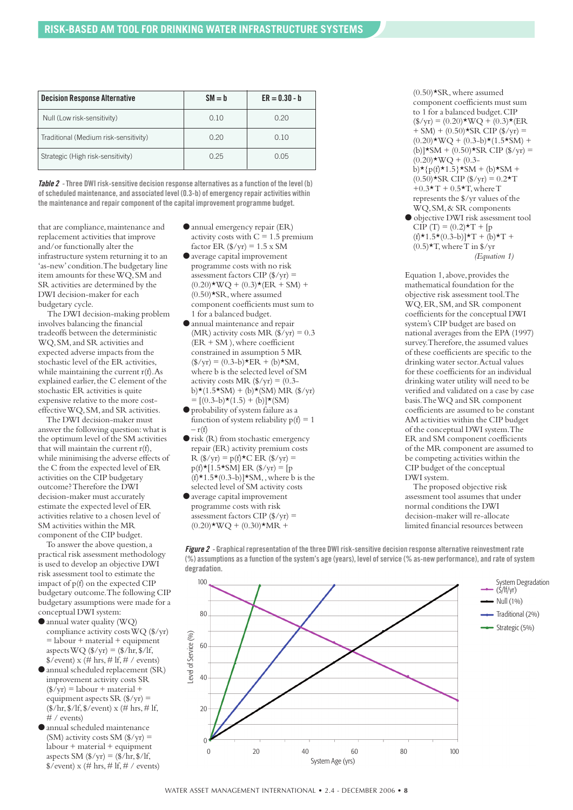| <b>Decision Response Alternative</b>  | $SM = b$ | $ER = 0.30 - b$ |
|---------------------------------------|----------|-----------------|
| Null (Low risk-sensitivity)           | 0.10     | 0.20            |
| Traditional (Medium risk-sensitivity) | 0.20     | 0.10            |
| Strategic (High risk-sensitivity)     | 0.25     | 0.05            |

**Table 2 -Three DWI risk-sensitive decision response alternatives as a function of the level (b) of scheduled maintenance, and associated level (0.3-b) of emergency repair activities within the maintenance and repair component of the capital improvement programme budget.** 

that are compliance, maintenance and replacement activities that improve and/or functionally alter the infrastructure system returning it to an 'as-new' condition. The budgetary line item amounts for these WQ, SM and SR activities are determined by the DWI decision-maker for each budgetary cycle.

The DWI decision-making problem involves balancing the financial tradeoffs between the deterministic WQ, SM, and SR activities and expected adverse impacts from the stochastic level of the ER activities, while maintaining the current r(f). As explained earlier, the C element of the stochastic ER activities is quite expensive relative to the more costeffective WQ, SM, and SR activities.

The DWI decision-maker must answer the following question: what is the optimum level of the SM activities that will maintain the current r(f), while minimising the adverse effects of the C from the expected level of ER activities on the CIP budgetary outcome? Therefore the DWI decision-maker must accurately estimate the expected level of ER activities relative to a chosen level of SM activities within the MR component of the CIP budget.

To answer the above question, a practical risk assessment methodology is used to develop an objective DWI risk assessment tool to estimate the impact of p(f) on the expected CIP budgetary outcome. The following CIP budgetary assumptions were made for a conceptual DWI system:

- ●annual water quality (WQ) compliance activity costs WQ (\$/yr)  $=$  labour + material + equipment aspects  $WQ$  ( $\gamma yr$ ) = ( $\gamma h$ r,  $\gamma f$ f,  $\sqrt{$}$  (event) x (# hrs, # lf, # / events)
- ●annual scheduled replacement (SR) improvement activity costs SR  $(\sqrt{$} \sqrt{y}r)$  = labour + material + equipment aspects SR  $(\frac{f}{x})$  = (\$/hr, \$/lf, \$/event) x (# hrs, # lf, # / events)
- ●annual scheduled maintenance (SM) activity costs SM  $(\frac{f}{x})$  =  $labor + material + equipment$ aspects SM  $(\frac{f}{x})_Y = \frac{f}{x}$ hr,  $\frac{f}{x}$ lf,  $\sqrt{$}$ /event) x (# hrs, # lf, # / events)
- ●annual emergency repair (ER) activity costs with  $C = 1.5$  premium factor ER  $(\frac{f}{x})_{yr} = 1.5 \times S\overline{M}$
- ●average capital improvement programme costs with no risk assessment factors CIP  $(\frac{f}{x})$  =  $(0.20)$ \*WQ +  $(0.3)$ \*(ER + SM) +  $(0.50)$ \*SR, where assumed component coefficients must sum to 1 for a balanced budget.
- ●annual maintenance and repair (MR) activity costs MR  $(\frac{f}{f})$  ( $\frac{f}{f}$ ) = 0.3  $(ER + SM)$ , where coefficient constrained in assumption 5 MR  $(\frac{f}{f})(yr) = (0.3 - b) \times ER + (b) \times SM,$ where b is the selected level of SM activity costs MR  $(\frac{f}{x})$  yr) = (0.3 $b)$ \*(1.5\*SM) + (b)\*(SM) MR (\$/yr)  $=[(0.3–b) \star (1.5) + (b)] \star (SM)$
- ●probability of system failure as a function of system reliability  $p(f) = 1$  $- r(f)$
- risk (R) from stochastic emergency repair (ER) activity premium costs  $R$  (\$/yr) = p(f)  $\star$ C ER (\$/yr) =  $p(f) * [1.5 * SM] ER (\frac{6}{yr}) = [p]$  $(f) \star 1.5 \star (0.3 - b) \star SM$ , where b is the selected level of SM activity costs
- ●average capital improvement programme costs with risk assessment factors CIP  $(\frac{f}{x})$  =  $(0.20)$ \*WQ +  $(0.30)$ \*MR +

 $(0.50)$ \*SR, where assumed component coefficients must sum to 1 for a balanced budget. CIP  $(\frac{f}{x}) = (0.20) \star WQ + (0.3) \star (ER)$  $+$  SM) + (0.50)\*SR CIP (\$/yr) =  $(0.20)$ \*WO +  $(0.3-b)$ \* $(1.5$ \*SM $)$  + (b)] $*SM + (0.50) * SR CIP ($/yr) =$  $(0.20)$ \*WO +  $(0.3$  $b$   $\star$  { $p(f) \star 1.5$  }  $\star$  SM + (b)  $\star$  SM +  $(0.50)$ \*SR CIP (\$/yr) = 0.2\*T  $+0.3 \star T + 0.5 \star T$ , where T represents the \$/yr values of the WQ, SM, & SR components

● objective DWI risk assessment tool  $CIP(T) = (0.2) \star T + [p]$  $(f) \star 1.5 \star (0.3 - b) \star T + (b) \star T +$  $(0.5)$ <sup>\*</sup>T, where T in \$/yr *(Equation 1)*

Equation 1, above, provides the mathematical foundation for the objective risk assessment tool. The WQ, ER, SM, and SR component coefficients for the conceptual DWI system's CIP budget are based on national averages from the EPA (1997) survey. Therefore, the assumed values of these coefficients are specific to the drinking water sector. Actual values for these coefficients for an individual drinking water utility will need to be verified and validated on a case by case basis. The WQ and SR component coefficients are assumed to be constant AM activities within the CIP budget of the conceptual DWI system. The ER and SM component coefficients of the MR component are assumed to be competing activities within the CIP budget of the conceptual DWI system.

The proposed objective risk assessment tool assumes that under normal conditions the DWI decision-maker will re-allocate limited financial resources between



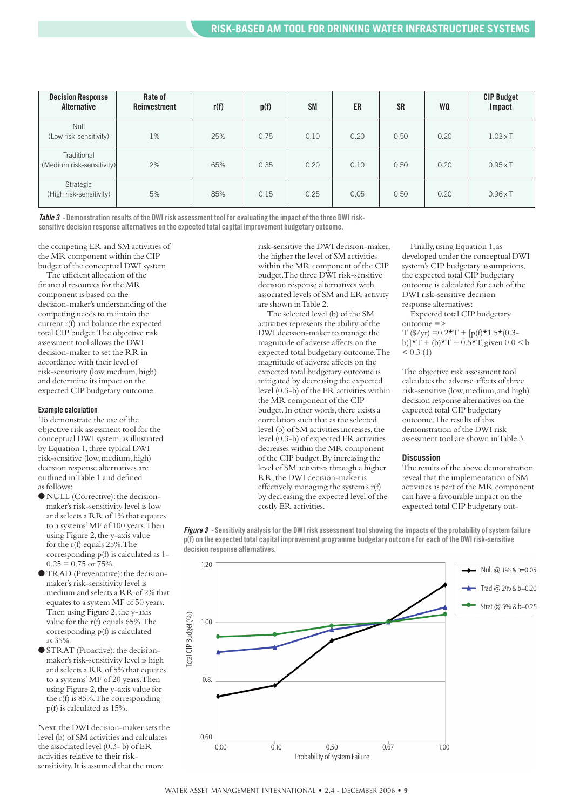| <b>Decision Response</b><br>Alternative  | Rate of<br>Reinvestment | r(f) | p(f) | <b>SM</b> | ER   | <b>SR</b> | WQ   | <b>CIP Budget</b><br>Impact |
|------------------------------------------|-------------------------|------|------|-----------|------|-----------|------|-----------------------------|
| <b>Null</b><br>(Low risk-sensitivity)    | $1\%$                   | 25%  | 0.75 | 0.10      | 0.20 | 0.50      | 0.20 | $1.03 \times T$             |
| Traditional<br>(Medium risk-sensitivity) | 2%                      | 65%  | 0.35 | 0.20      | 0.10 | 0.50      | 0.20 | $0.95\times T$              |
| Strategic<br>(High risk-sensitivity)     | 5%                      | 85%  | 0.15 | 0.25      | 0.05 | 0.50      | 0.20 | $0.96\times T$              |

**Table 3 - Demonstration results of the DWI risk assessment tool for evaluating the impact of the three DWI risksensitive decision response alternatives on the expected total capital improvement budgetary outcome.** 

the competing ER and SM activities of the MR component within the CIP budget of the conceptual DWI system.

The efficient allocation of the financial resources for the MR component is based on the decision-maker's understanding of the competing needs to maintain the current r(f) and balance the expected total CIP budget. The objective risk assessment tool allows the DWI decision-maker to set the RR in accordance with their level of risk-sensitivity (low, medium, high) and determine its impact on the expected CIP budgetary outcome.

#### **Example calculation**

To demonstrate the use of the objective risk assessment tool for the conceptual DWI system, as illustrated by Equation 1, three typical DWI risk-sensitive (low, medium, high) decision response alternatives are outlined in Table 1 and defined as follows:

- NULL (Corrective): the decisionmaker's risk-sensitivity level is low and selects a RR of 1% that equates to a systems' MF of 100 years. Then using Figure 2, the y-axis value for the r(f) equals 25%. The corresponding p(f) is calculated as 1-  $0.25 = 0.75$  or 75%.
- ●TRAD (Preventative): the decisionmaker's risk-sensitivity level is medium and selects a RR of 2% that equates to a system MF of 50 years. Then using Figure 2, the y-axis value for the r(f) equals 65%. The corresponding p(f) is calculated as 35%.
- ●STRAT (Proactive): the decisionmaker's risk-sensitivity level is high and selects a RR of 5% that equates to a systems' MF of 20 years. Then using Figure 2, the y-axis value for the r(f) is 85%. The corresponding p(f) is calculated as 15%.

Next, the DWI decision-maker sets the level (b) of SM activities and calculates the associated level (0.3- b) of ER activities relative to their risksensitivity. It is assumed that the more

risk-sensitive the DWI decision-maker, the higher the level of SM activities within the MR component of the CIP budget. The three DWI risk-sensitive decision response alternatives with associated levels of SM and ER activity are shown in Table 2.

The selected level (b) of the SM activities represents the ability of the DWI decision-maker to manage the magnitude of adverse affects on the expected total budgetary outcome. The magnitude of adverse affects on the expected total budgetary outcome is mitigated by decreasing the expected level (0.3-b) of the ER activities within the MR component of the CIP budget. In other words, there exists a correlation such that as the selected level (b) of SM activities increases, the level (0.3-b) of expected ER activities decreases within the MR component of the CIP budget. By increasing the level of SM activities through a higher RR, the DWI decision-maker is effectively managing the system's r(f) by decreasing the expected level of the costly ER activities.

Finally, using Equation 1, as developed under the conceptual DWI system's CIP budgetary assumptions, the expected total CIP budgetary outcome is calculated for each of the DWI risk-sensitive decision response alternatives:

Expected total CIP budgetary outcome =>

 $T$  (\$/yr) = 0.2  $\star$  T + [p(f)  $\star$  1.5  $\star$  (0.3b)] $\star T + (b) \star T + 0.5 \star T$ , given  $0.0 \le b$  $< 0.3(1)$ 

The objective risk assessment tool calculates the adverse affects of three risk-sensitive (low, medium, and high) decision response alternatives on the expected total CIP budgetary outcome. The results of this demonstration of the DWI risk assessment tool are shown in Table 3.

#### **Discussion**

The results of the above demonstration reveal that the implementation of SM activities as part of the MR component can have a favourable impact on the expected total CIP budgetary out-

**Figure 3 - Sensitivity analysis for the DWI risk assessment tool showing the impacts of the probability of system failure p(f) on the expected total capital improvement programme budgetary outcome for each of the DWI risk-sensitive decision response alternatives.** 

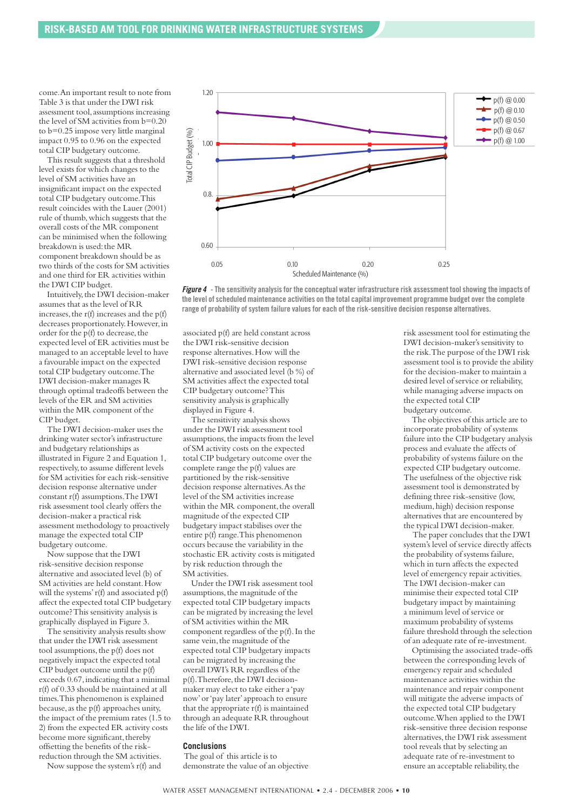come. An important result to note from Table 3 is that under the DWI risk assessment tool, assumptions increasing the level of SM activities from b=0.20 to b=0.25 impose very little marginal impact 0.95 to 0.96 on the expected total CIP budgetary outcome.

This result suggests that a threshold level exists for which changes to the level of SM activities have an insignificant impact on the expected total CIP budgetary outcome. This result coincides with the Lauer (2001) rule of thumb, which suggests that the overall costs of the MR component can be minimised when the following breakdown is used: the MR component breakdown should be as two thirds of the costs for SM activities and one third for ER activities within the DWI CIP budget.

Intuitively, the DWI decision-maker assumes that as the level of RR increases, the r(f) increases and the p(f) decreases proportionately. However, in order for the p(f) to decrease, the expected level of ER activities must be managed to an acceptable level to have a favourable impact on the expected total CIP budgetary outcome. The DWI decision-maker manages R through optimal tradeoffs between the levels of the ER and SM activities within the MR component of the CIP budget.

The DWI decision-maker uses the drinking water sector's infrastructure and budgetary relationships as illustrated in Figure 2 and Equation 1, respectively, to assume different levels for SM activities for each risk-sensitive decision response alternative under constant r(f) assumptions. The DWI risk assessment tool clearly offers the decision-maker a practical risk assessment methodology to proactively manage the expected total CIP budgetary outcome.

Now suppose that the DWI risk-sensitive decision response alternative and associated level (b) of SM activities are held constant. How will the systems' r(f) and associated p(f) affect the expected total CIP budgetary outcome? This sensitivity analysis is graphically displayed in Figure 3.

The sensitivity analysis results show that under the DWI risk assessment tool assumptions, the p(f) does not negatively impact the expected total CIP budget outcome until the p(f) exceeds 0.67, indicating that a minimal r(f) of 0.33 should be maintained at all times. This phenomenon is explained because, as the p(f) approaches unity, the impact of the premium rates (1.5 to 2) from the expected ER activity costs become more significant, thereby offsetting the benefits of the riskreduction through the SM activities.

Now suppose the system's r(f) and





associated p(f) are held constant across the DWI risk-sensitive decision response alternatives. How will the DWI risk-sensitive decision response alternative and associated level (b %) of SM activities affect the expected total CIP budgetary outcome? This sensitivity analysis is graphically displayed in Figure 4.

The sensitivity analysis shows under the DWI risk assessment tool assumptions, the impacts from the level of SM activity costs on the expected total CIP budgetary outcome over the complete range the p(f) values are partitioned by the risk-sensitive decision response alternatives. As the level of the SM activities increase within the MR component, the overall magnitude of the expected CIP budgetary impact stabilises over the entire p(f) range. This phenomenon occurs because the variability in the stochastic ER activity costs is mitigated by risk reduction through the SM activities.

Under the DWI risk assessment tool assumptions, the magnitude of the expected total CIP budgetary impacts can be migrated by increasing the level of SM activities within the MR component regardless of the p(f). In the same vein, the magnitude of the expected total CIP budgetary impacts can be migrated by increasing the overall DWI's RR regardless of the p(f). Therefore, the DWI decisionmaker may elect to take either a 'pay now' or 'pay later' approach to ensure that the appropriate r(f) is maintained through an adequate RR throughout the life of the DWI.

#### **Conclusions**

The goal of this article is to demonstrate the value of an objective risk assessment tool for estimating the DWI decision-maker's sensitivity to the risk. The purpose of the DWI risk assessment tool is to provide the ability for the decision-maker to maintain a desired level of service or reliability, while managing adverse impacts on the expected total CIP budgetary outcome.

The objectives of this article are to incorporate probability of systems failure into the CIP budgetary analysis process and evaluate the affects of probability of systems failure on the expected CIP budgetary outcome. The usefulness of the objective risk assessment tool is demonstrated by defining three risk-sensitive (low, medium, high) decision response alternatives that are encountered by the typical DWI decision-maker.

The paper concludes that the DWI system's level of service directly affects the probability of systems failure, which in turn affects the expected level of emergency repair activities. The DWI decision-maker can minimise their expected total CIP budgetary impact by maintaining a minimum level of service or maximum probability of systems failure threshold through the selection of an adequate rate of re-investment.

Optimising the associated trade-offs between the corresponding levels of emergency repair and scheduled maintenance activities within the maintenance and repair component will mitigate the adverse impacts of the expected total CIP budgetary outcome. When applied to the DWI risk-sensitive three decision response alternatives, the DWI risk assessment tool reveals that by selecting an adequate rate of re-investment to ensure an acceptable reliability, the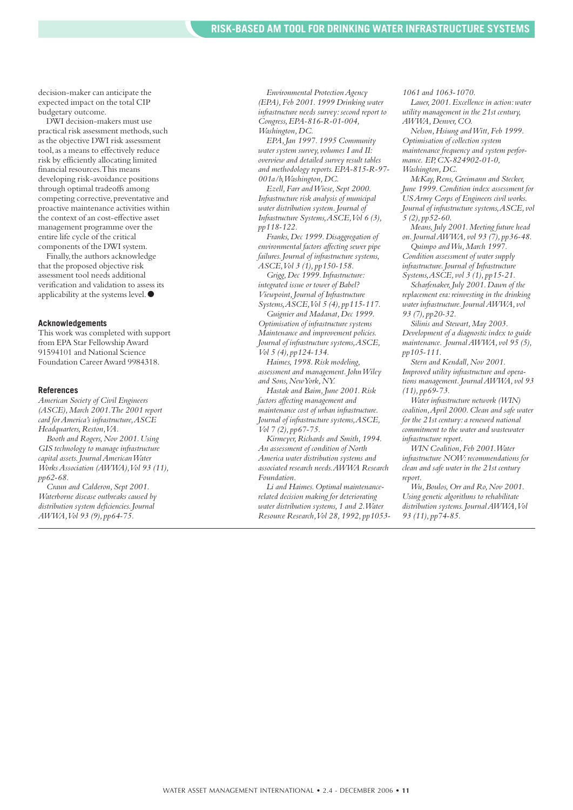decision-maker can anticipate the expected impact on the total CIP budgetary outcome.

DWI decision-makers must use practical risk assessment methods, such as the objective DWI risk assessment tool, as a means to effectively reduce risk by efficiently allocating limited financial resources. This means developing risk-avoidance positions through optimal tradeoffs among competing corrective, preventative and proactive maintenance activities within the context of an cost-effective asset management programme over the entire life cycle of the critical components of the DWI system.

Finally, the authors acknowledge that the proposed objective risk assessment tool needs additional verification and validation to assess its applicability at the systems level. ●

#### **Acknowledgements**

This work was completed with support from EPA Star Fellowship Award 91594101 and National Science Foundation Career Award 9984318.

#### **References**

*American Society of Civil Engineers (ASCE), March 2001. The 2001 report card for America's infrastructure, ASCE Headquarters, Reston, VA.*

*Booth and Rogers, Nov 2001. Using GIS technology to manage infrastructure capital assets. Journal American Water Works Association (AWWA), Vol 93 (11), pp62-68.*

*Craun and Calderon, Sept 2001. Waterborne disease outbreaks caused by distribution system deficiencies. Journal AWWA, Vol 93 (9), pp64-75.*

*Environmental Protection Agency (EPA), Feb 2001. 1999 Drinking water infrastructure needs survey: second report to Congress, EPA-816-R-01-004, Washington, DC.*

*EPA, Jan 1997. 1995 Community water system survey, volumes I and II: overview and detailed survey result tables and methodology reports. EPA-815-R-97- 001a/b, Washington, DC.* 

*Ezell, Farr and Wiese, Sept 2000. Infrastructure risk analysis of municipal water distribution system. Journal of Infrastructure Systems, ASCE, Vol 6 (3), pp118-122.*

*Franks, Dec 1999. Disaggregation of environmental factors affecting sewer pipe failures. Journal of infrastructure systems, ASCE, Vol 3 (1), pp150-158.*

*Grigg, Dec 1999. Infrastructure: integrated issue or tower of Babel? Viewpoint, Journal of Infrastructure Systems, ASCE, Vol 5 (4), pp115-117.*

*Guignier and Madanat, Dec 1999. Optimisation of infrastructure systems Maintenance and improvement policies. Journal of infrastructure systems, ASCE, Vol 5 (4), pp124-134.*

*Haimes, 1998. Risk modeling, assessment and management. John Wiley and Sons, New York, NY.*

*Hastak and Baim, June 2001. Risk factors affecting management and maintenance cost of urban infrastructure. Journal of infrastructure systems, ASCE, Vol 7 (2), pp67-75.*

*Kirmeyer, Richards and Smith, 1994. An assessment of condition of North America water distribution systems and associated research needs. AWWA Research Foundation.*

*Li and Haimes. Optimal maintenancerelated decision making for deteriorating water distribution systems, 1 and 2. Water Resource Research, Vol 28, 1992, pp1053-* *1061 and 1063-1070.*

*Lauer, 2001. Excellence in action: water utility management in the 21st century, AWWA, Denver, CO.*

*Nelson, Hsiung and Witt, Feb 1999. Optimisation of collection system maintenance frequency and system performance. EP, CX-824902-01-0, Washington, DC.*

*McKay, Rens, Greimann and Stecker, June 1999. Condition index assessment for US Army Corps of Engineers civil works. Journal of infrastructure systems, ASCE, vol 5 (2), pp52-60.*

*Means, July 2001. Meeting future head on. Journal AWWA, vol 93 (7), pp36-48.* 

*Quimpo and Wu, March 1997. Condition assessment of water supply infrastructure. Journal of Infrastructure Systems, ASCE, vol 3 (1), pp15-21.*

*Scharfenaker, July 2001. Dawn of the replacement era: reinvesting in the drinking water infrastructure. Journal AWWA, vol 93 (7), pp20-32.*

*Silinis and Stewart, May 2003. Development of a diagnostic index to guide maintenance. Journal AWWA, vol 95 (5), pp105-111.*

*Stern and Kendall, Nov 2001. Improved utility infrastructure and operations management. Journal AWWA, vol 93 (11), pp69-73.*

*Water infrastructure network (WIN) coalition, April 2000. Clean and safe water for the 21st century: a renewed national commitment to the water and wastewater infrastructure report.*

*WIN Coalition, Feb 2001. Water infrastructure NOW: recommendations for clean and safe water in the 21st century report.*

*Wu, Boulos, Orr and Ro, Nov 2001. Using genetic algorithms to rehabilitate distribution systems. Journal AWWA, Vol 93 (11), pp74-85.*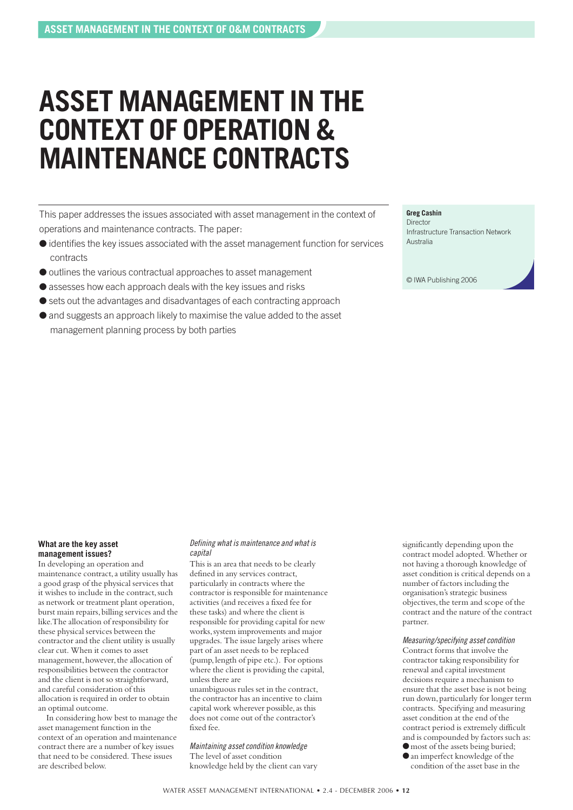## **ASSET MANAGEMENT IN THE CONTEXT OF OPERATION & MAINTENANCE CONTRACTS**

This paper addresses the issues associated with asset management in the context of operations and maintenance contracts. The paper:

- identifies the key issues associated with the asset management function for services contracts
- outlines the various contractual approaches to asset management
- assesses how each approach deals with the key issues and risks
- sets out the advantages and disadvantages of each contracting approach
- and suggests an approach likely to maximise the value added to the asset management planning process by both parties

#### **Greg Cashin**

Director Infrastructure Transaction Network Australia

© IWA Publishing 2006

#### **What are the key asset management issues?**

In developing an operation and maintenance contract, a utility usually has a good grasp of the physical services that it wishes to include in the contract, such as network or treatment plant operation, burst main repairs, billing services and the like. The allocation of responsibility for these physical services between the contractor and the client utility is usually clear cut. When it comes to asset management, however, the allocation of responsibilities between the contractor and the client is not so straightforward, and careful consideration of this allocation is required in order to obtain an optimal outcome.

In considering how best to manage the asset management function in the context of an operation and maintenance contract there are a number of key issues that need to be considered. These issues are described below.

#### Defining what is maintenance and what is capital

This is an area that needs to be clearly defined in any services contract, particularly in contracts where the contractor is responsible for maintenance activities (and receives a fixed fee for these tasks) and where the client is responsible for providing capital for new works, system improvements and major upgrades. The issue largely arises where part of an asset needs to be replaced (pump, length of pipe etc.). For options where the client is providing the capital. unless there are

unambiguous rules set in the contract, the contractor has an incentive to claim capital work wherever possible, as this does not come out of the contractor's fixed fee.

Maintaining asset condition knowledge The level of asset condition knowledge held by the client can vary

significantly depending upon the contract model adopted. Whether or not having a thorough knowledge of asset condition is critical depends on a number of factors including the organisation's strategic business objectives, the term and scope of the contract and the nature of the contract partner.

Measuring/specifying asset condition Contract forms that involve the contractor taking responsibility for renewal and capital investment decisions require a mechanism to ensure that the asset base is not being run down, particularly for longer term contracts. Specifying and measuring asset condition at the end of the contract period is extremely difficult and is compounded by factors such as:  $\bullet$  most of the assets being buried;

●an imperfect knowledge of the condition of the asset base in the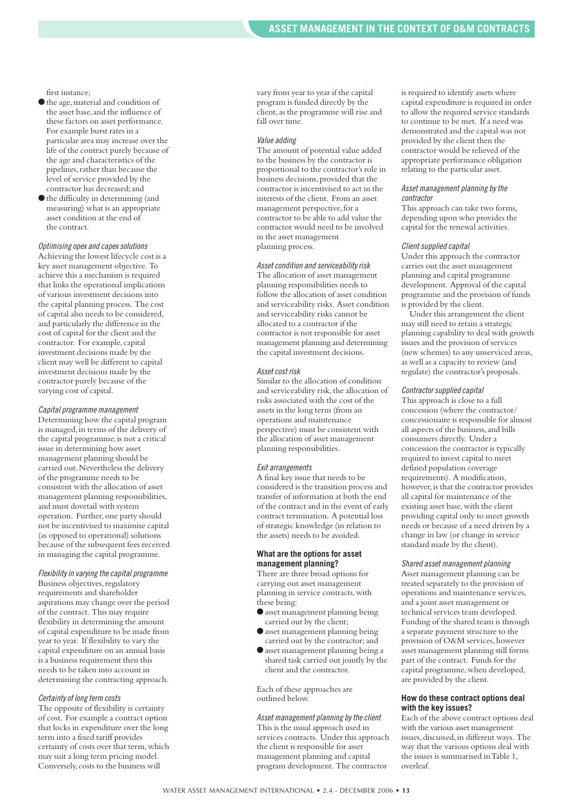first instance:

- ●the age, material and condition of the asset base, and the influence of these factors on asset performance. For example burst rates in a particular area may increase over the life of the contract purely because of the age and characteristics of the pipelines, rather than because the level of service provided by the contractor has decreased; and
- ●the difficulty in determining (and measuring) what is an appropriate asset condition at the end of the contract.

Optimising opex and capex solutions Achieving the lowest lifecycle cost is a key asset management objective. To achieve this a mechanism is required that links the operational implications of various investment decisions into the capital planning process. The cost of capital also needs to be considered, and particularly the difference in the cost of capital for the client and the contractor. For example, capital investment decisions made by the client may well be different to capital investment decisions made by the contractor purely because of the varying cost of capital.

#### Capital programme management

Determining how the capital program is managed, in terms of the delivery of the capital programme, is not a critical issue in determining how asset management planning should be carried out. Nevertheless the delivery of the programme needs to be consistent with the allocation of asset management planning responsibilities, and must dovetail with system operation. Further, one party should not be incentivised to maximise capital (as opposed to operational) solutions because of the subsequent fees received in managing the capital programme.

Flexibility in varying the capital programme Business objectives, regulatory requirements and shareholder aspirations may change over the period of the contract. This may require flexibility in determining the amount of capital expenditure to be made from year to year. If flexibility to vary the capital expenditure on an annual basis is a business requirement then this needs to be taken into account in determining the contracting approach.

#### Certainty of long term costs

The opposite of flexibility is certainty of cost. For example a contract option that locks in expenditure over the long term into a fixed tariff provides certainty of costs over that term, which may suit a long term pricing model. Conversely, costs to the business will

vary from year to year if the capital program is funded directly by the client, as the programme will rise and fall over time.

#### Value adding

The amount of potential value added to the business by the contractor is proportional to the contractor's role in business decisions, provided that the contractor is incentivised to act in the interests of the client. From an asset management perspective, for a contractor to be able to add value the contractor would need to be involved in the asset management planning process.

#### Asset condition and serviceability risk

The allocation of asset management planning responsibilities needs to follow the allocation of asset condition and serviceability risks. Asset condition and serviceability risks cannot be allocated to a contractor if the contractor is not responsible for asset management planning and determining the capital investment decisions.

#### Asset cost risk

Similar to the allocation of condition and serviceability risk, the allocation of risks associated with the cost of the assets in the long term (from an operations and maintenance perspective) must be consistent with the allocation of asset management planning responsibilities.

#### Exit arrangements

A final key issue that needs to be considered is the transition process and transfer of information at both the end of the contract and in the event of early contract termination. A potential loss of strategic knowledge (in relation to the assets) needs to be avoided.

#### **What are the options for asset management planning?**

There are three broad options for carrying out asset management planning in service contracts, with these being:

- ●asset management planning being carried out by the client;
- ●asset management planning being carried out by the contractor; and
- ●asset management planning being a shared task carried out jointly by the client and the contractor.

Each of these approaches are outlined below.

Asset management planning by the client This is the usual approach used in services contracts. Under this approach the client is responsible for asset management planning and capital program development. The contractor

is required to identify assets where capital expenditure is required in order to allow the required service standards to continue to be met. If a need was demonstrated and the capital was not provided by the client then the contractor would be relieved of the appropriate performance obligation relating to the particular asset.

#### Asset management planning by the contractor

This approach can take two forms, depending upon who provides the capital for the renewal activities.

#### Client supplied capital

Under this approach the contractor carries out the asset management planning and capital programme development. Approval of the capital programme and the provision of funds is provided by the client.

Under this arrangement the client may still need to retain a strategic planning capability to deal with growth issues and the provision of services (new schemes) to any unserviced areas, as well as a capacity to review (and regulate) the contractor's proposals.

#### Contractor supplied capital

This approach is close to a full concession (where the contractor/ concessionaire is responsible for almost all aspects of the business, and bills consumers directly. Under a concession the contractor is typically required to invest capital to meet defined population coverage requirements). A modification, however, is that the contractor provides all capital for maintenance of the existing asset base, with the client providing capital only to meet growth needs or because of a need driven by a change in law (or change in service standard made by the client).

Shared asset management planning Asset management planning can be treated separately to the provision of operations and maintenance services, and a joint asset management or technical services team developed. Funding of the shared team is through a separate payment structure to the provision of O&M services, however asset management planning still forms part of the contract. Funds for the capital programme, when developed, are provided by the client.

#### **How do these contract options deal with the key issues?**

Each of the above contract options deal with the various asset management issues, discussed, in different ways. The way that the various options deal with the issues is summarised in Table 1, overleaf.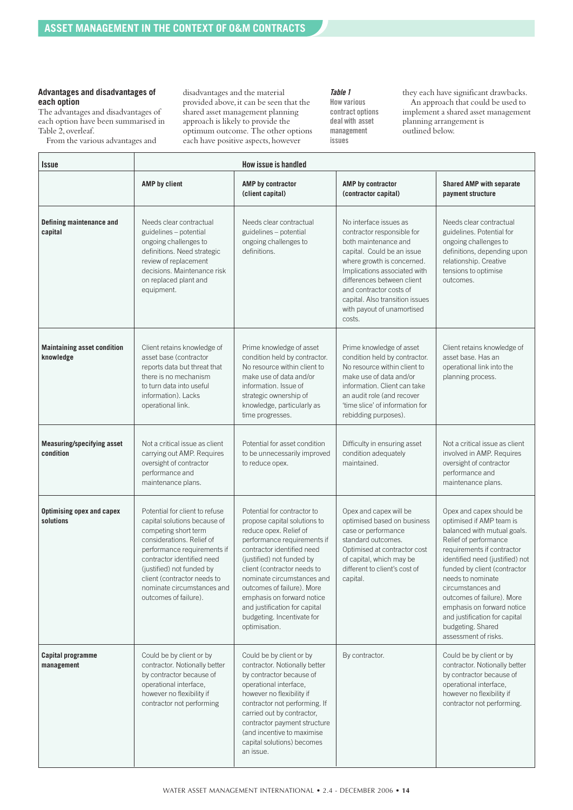#### **Advantages and disadvantages of each option**

The advantages and disadvantages of each option have been summarised in Table 2, overleaf.

From the various advantages and

disadvantages and the material provided above, it can be seen that the shared asset management planning approach is likely to provide the optimum outcome. The other options each have positive aspects, however

#### **Table 1**

**How various contract options deal with asset management issues**

they each have significant drawbacks. An approach that could be used to implement a shared asset management planning arrangement is outlined below.

| <i><b>Issue</b></i>                             | How issue is handled                                                                                                                                                                                                                                                                                |                                                                                                                                                                                                                                                                                                                                                                                          |                                                                                                                                                                                                                                                                                                              |                                                                                                                                                                                                                                                                                                                                                                                                   |  |
|-------------------------------------------------|-----------------------------------------------------------------------------------------------------------------------------------------------------------------------------------------------------------------------------------------------------------------------------------------------------|------------------------------------------------------------------------------------------------------------------------------------------------------------------------------------------------------------------------------------------------------------------------------------------------------------------------------------------------------------------------------------------|--------------------------------------------------------------------------------------------------------------------------------------------------------------------------------------------------------------------------------------------------------------------------------------------------------------|---------------------------------------------------------------------------------------------------------------------------------------------------------------------------------------------------------------------------------------------------------------------------------------------------------------------------------------------------------------------------------------------------|--|
|                                                 | <b>AMP</b> by client                                                                                                                                                                                                                                                                                | AMP by contractor<br>(client capital)                                                                                                                                                                                                                                                                                                                                                    | AMP by contractor<br>(contractor capital)                                                                                                                                                                                                                                                                    | <b>Shared AMP with separate</b><br>payment structure                                                                                                                                                                                                                                                                                                                                              |  |
| Defining maintenance and<br>capital             | Needs clear contractual<br>guidelines - potential<br>ongoing challenges to<br>definitions. Need strategic<br>review of replacement<br>decisions. Maintenance risk<br>on replaced plant and<br>equipment.                                                                                            | Needs clear contractual<br>guidelines - potential<br>ongoing challenges to<br>definitions.                                                                                                                                                                                                                                                                                               | No interface issues as<br>contractor responsible for<br>both maintenance and<br>capital. Could be an issue<br>where growth is concerned.<br>Implications associated with<br>differences between client<br>and contractor costs of<br>capital. Also transition issues<br>with payout of unamortised<br>costs. | Needs clear contractual<br>guidelines. Potential for<br>ongoing challenges to<br>definitions, depending upon<br>relationship. Creative<br>tensions to optimise<br>outcomes.                                                                                                                                                                                                                       |  |
| <b>Maintaining asset condition</b><br>knowledge | Client retains knowledge of<br>asset base (contractor<br>reports data but threat that<br>there is no mechanism<br>to turn data into useful<br>information). Lacks<br>operational link.                                                                                                              | Prime knowledge of asset<br>condition held by contractor.<br>No resource within client to<br>make use of data and/or<br>information. Issue of<br>strategic ownership of<br>knowledge, particularly as<br>time progresses.                                                                                                                                                                | Prime knowledge of asset<br>condition held by contractor.<br>No resource within client to<br>make use of data and/or<br>information. Client can take<br>an audit role (and recover<br>'time slice' of information for<br>rebidding purposes).                                                                | Client retains knowledge of<br>asset base. Has an<br>operational link into the<br>planning process.                                                                                                                                                                                                                                                                                               |  |
| <b>Measuring/specifying asset</b><br>condition  | Not a critical issue as client<br>carrying out AMP. Requires<br>oversight of contractor<br>performance and<br>maintenance plans.                                                                                                                                                                    | Potential for asset condition<br>to be unnecessarily improved<br>to reduce opex.                                                                                                                                                                                                                                                                                                         | Difficulty in ensuring asset<br>condition adequately<br>maintained.                                                                                                                                                                                                                                          | Not a critical issue as client<br>involved in AMP. Requires<br>oversight of contractor<br>performance and<br>maintenance plans.                                                                                                                                                                                                                                                                   |  |
| <b>Optimising opex and capex</b><br>solutions   | Potential for client to refuse<br>capital solutions because of<br>competing short term<br>considerations. Relief of<br>performance requirements if<br>contractor identified need<br>(justified) not funded by<br>client (contractor needs to<br>nominate circumstances and<br>outcomes of failure). | Potential for contractor to<br>propose capital solutions to<br>reduce opex. Relief of<br>performance requirements if<br>contractor identified need<br>(justified) not funded by<br>client (contractor needs to<br>nominate circumstances and<br>outcomes of failure). More<br>emphasis on forward notice<br>and justification for capital<br>budgeting. Incentivate for<br>optimisation. | Opex and capex will be<br>optimised based on business<br>case or performance<br>standard outcomes.<br>Optimised at contractor cost<br>of capital, which may be<br>different to client's cost of<br>capital.                                                                                                  | Opex and capex should be<br>optimised if AMP team is<br>balanced with mutual goals.<br>Relief of performance<br>requirements if contractor<br>identified need (justified) not<br>funded by client (contractor<br>needs to nominate<br>circumstances and<br>outcomes of failure). More<br>emphasis on forward notice<br>and justification for capital<br>budgeting. Shared<br>assessment of risks. |  |
| Capital programme<br>management                 | Could be by client or by<br>contractor. Notionally better<br>by contractor because of<br>operational interface,<br>however no flexibility if<br>contractor not performing                                                                                                                           | Could be by client or by<br>contractor. Notionally better<br>by contractor because of<br>operational interface,<br>however no flexibility if<br>contractor not performing. If<br>carried out by contractor,<br>contractor payment structure<br>(and incentive to maximise<br>capital solutions) becomes<br>an issue.                                                                     | By contractor.                                                                                                                                                                                                                                                                                               | Could be by client or by<br>contractor. Notionally better<br>by contractor because of<br>operational interface,<br>however no flexibility if<br>contractor not performing.                                                                                                                                                                                                                        |  |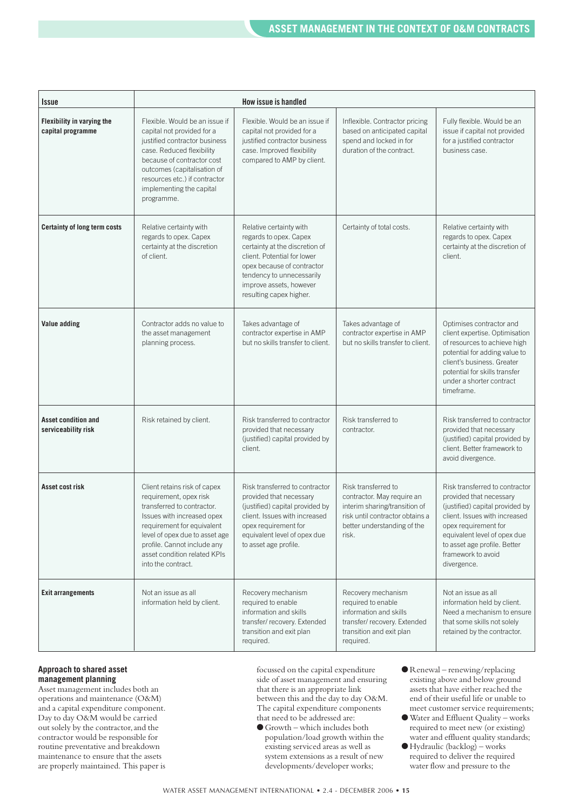| <i><b>Issue</b></i>                               |                                                                                                                                                                                                                                                                         | How issue is handled                                                                                                                                                                                                                |                                                                                                                                                               |                                                                                                                                                                                                                                                            |
|---------------------------------------------------|-------------------------------------------------------------------------------------------------------------------------------------------------------------------------------------------------------------------------------------------------------------------------|-------------------------------------------------------------------------------------------------------------------------------------------------------------------------------------------------------------------------------------|---------------------------------------------------------------------------------------------------------------------------------------------------------------|------------------------------------------------------------------------------------------------------------------------------------------------------------------------------------------------------------------------------------------------------------|
| Flexibility in varying the<br>capital programme   | Flexible. Would be an issue if<br>capital not provided for a<br>justified contractor business<br>case. Reduced flexibility<br>because of contractor cost<br>outcomes (capitalisation of<br>resources etc.) if contractor<br>implementing the capital<br>programme.      | Flexible. Would be an issue if<br>capital not provided for a<br>justified contractor business<br>case. Improved flexibility<br>compared to AMP by client.                                                                           | Inflexible. Contractor pricing<br>based on anticipated capital<br>spend and locked in for<br>duration of the contract.                                        | Fully flexible. Would be an<br>issue if capital not provided<br>for a justified contractor<br>business case.                                                                                                                                               |
| <b>Certainty of long term costs</b>               | Relative certainty with<br>regards to opex. Capex<br>certainty at the discretion<br>of client.                                                                                                                                                                          | Relative certainty with<br>regards to opex. Capex<br>certainty at the discretion of<br>client. Potential for lower<br>opex because of contractor<br>tendency to unnecessarily<br>improve assets, however<br>resulting capex higher. | Certainty of total costs.                                                                                                                                     | Relative certainty with<br>regards to opex. Capex<br>certainty at the discretion of<br>client.                                                                                                                                                             |
| Value adding                                      | Contractor adds no value to<br>the asset management<br>planning process.                                                                                                                                                                                                | Takes advantage of<br>contractor expertise in AMP<br>but no skills transfer to client.                                                                                                                                              | Takes advantage of<br>contractor expertise in AMP<br>but no skills transfer to client.                                                                        | Optimises contractor and<br>client expertise. Optimisation<br>of resources to achieve high<br>potential for adding value to<br>client's business. Greater<br>potential for skills transfer<br>under a shorter contract<br>timeframe.                       |
| <b>Asset condition and</b><br>serviceability risk | Risk retained by client.                                                                                                                                                                                                                                                | Risk transferred to contractor<br>provided that necessary<br>(justified) capital provided by<br>client.                                                                                                                             | Risk transferred to<br>contractor.                                                                                                                            | Risk transferred to contractor<br>provided that necessary<br>(justified) capital provided by<br>client. Better framework to<br>avoid divergence.                                                                                                           |
| Asset cost risk                                   | Client retains risk of capex<br>requirement, opex risk<br>transferred to contractor.<br>Issues with increased opex<br>requirement for equivalent<br>level of opex due to asset age<br>profile. Cannot include any<br>asset condition related KPIs<br>into the contract. | Risk transferred to contractor<br>provided that necessary<br>(justified) capital provided by<br>client. Issues with increased<br>opex requirement for<br>equivalent level of opex due<br>to asset age profile.                      | Risk transferred to<br>contractor. May require an<br>interim sharing/transition of<br>risk until contractor obtains a<br>better understanding of the<br>risk. | Risk transferred to contractor<br>provided that necessary<br>(justified) capital provided by<br>client. Issues with increased<br>opex requirement for<br>equivalent level of opex due<br>to asset age profile. Better<br>framework to avoid<br>divergence. |
| <b>Exit arrangements</b>                          | Not an issue as all<br>information held by client.                                                                                                                                                                                                                      | Recovery mechanism<br>required to enable<br>information and skills<br>transfer/recovery. Extended<br>transition and exit plan<br>required.                                                                                          | Recovery mechanism<br>required to enable<br>information and skills<br>transfer/recovery. Extended<br>transition and exit plan<br>required.                    | Not an issue as all<br>information held by client.<br>Need a mechanism to ensure<br>that some skills not solely<br>retained by the contractor.                                                                                                             |

#### **Approach to shared asset management planning**

Asset management includes both an operations and maintenance (O&M) and a capital expenditure component. Day to day O&M would be carried out solely by the contractor, and the contractor would be responsible for routine preventative and breakdown maintenance to ensure that the assets are properly maintained. This paper is

focussed on the capital expenditure side of asset management and ensuring that there is an appropriate link between this and the day to day O&M. The capital expenditure components that need to be addressed are:

- $\blacklozenge$  Growth which includes both population/load growth within the existing serviced areas as well as system extensions as a result of new developments/developer works;
- $\bullet$  Renewal renewing/replacing existing above and below ground assets that have either reached the end of their useful life or unable to meet customer service requirements;
- ●Water and Effluent Quality works required to meet new (or existing) water and effluent quality standards;
- $\blacklozenge$  Hydraulic (backlog) works required to deliver the required water flow and pressure to the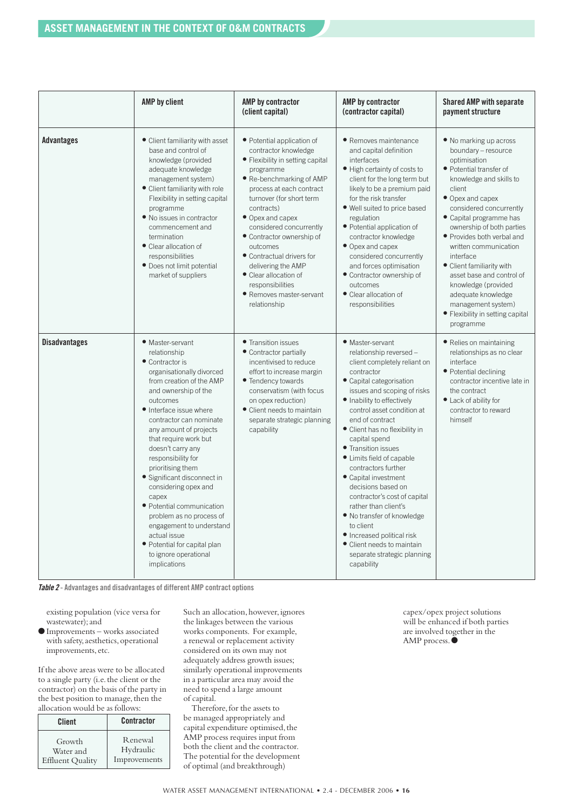|                      | <b>AMP</b> by client                                                                                                                                                                                                                                                                                                                                                                                                                                                                                                                                                    | AMP by contractor<br>(client capital)                                                                                                                                                                                                                                                                                                                                                                                                     | AMP by contractor<br>(contractor capital)                                                                                                                                                                                                                                                                                                                                                                                                                                                                                                                                                                                   | <b>Shared AMP with separate</b><br>payment structure                                                                                                                                                                                                                                                                                                                                                                                                                                   |
|----------------------|-------------------------------------------------------------------------------------------------------------------------------------------------------------------------------------------------------------------------------------------------------------------------------------------------------------------------------------------------------------------------------------------------------------------------------------------------------------------------------------------------------------------------------------------------------------------------|-------------------------------------------------------------------------------------------------------------------------------------------------------------------------------------------------------------------------------------------------------------------------------------------------------------------------------------------------------------------------------------------------------------------------------------------|-----------------------------------------------------------------------------------------------------------------------------------------------------------------------------------------------------------------------------------------------------------------------------------------------------------------------------------------------------------------------------------------------------------------------------------------------------------------------------------------------------------------------------------------------------------------------------------------------------------------------------|----------------------------------------------------------------------------------------------------------------------------------------------------------------------------------------------------------------------------------------------------------------------------------------------------------------------------------------------------------------------------------------------------------------------------------------------------------------------------------------|
| <b>Advantages</b>    | • Client familiarity with asset<br>base and control of<br>knowledge (provided<br>adequate knowledge<br>management system)<br>• Client familiarity with role<br>Flexibility in setting capital<br>programme<br>• No issues in contractor<br>commencement and<br>termination<br>• Clear allocation of<br>responsibilities<br>• Does not limit potential<br>market of suppliers                                                                                                                                                                                            | • Potential application of<br>contractor knowledge<br>• Flexibility in setting capital<br>programme<br>• Re-benchmarking of AMP<br>process at each contract<br>turnover (for short term<br>contracts)<br>• Opex and capex<br>considered concurrently<br>• Contractor ownership of<br>outcomes<br>• Contractual drivers for<br>delivering the AMP<br>• Clear allocation of<br>responsibilities<br>· Removes master-servant<br>relationship | • Removes maintenance<br>and capital definition<br>interfaces<br>• High certainty of costs to<br>client for the long term but<br>likely to be a premium paid<br>for the risk transfer<br>. Well suited to price based<br>regulation<br>• Potential application of<br>contractor knowledge<br>• Opex and capex<br>considered concurrently<br>and forces optimisation<br>• Contractor ownership of<br>outcomes<br>• Clear allocation of<br>responsibilities                                                                                                                                                                   | • No marking up across<br>boundary - resource<br>optimisation<br>• Potential transfer of<br>knowledge and skills to<br>client<br>• Opex and capex<br>considered concurrently<br>• Capital programme has<br>ownership of both parties<br>• Provides both verbal and<br>written communication<br>interface<br>• Client familiarity with<br>asset base and control of<br>knowledge (provided<br>adequate knowledge<br>management system)<br>• Flexibility in setting capital<br>programme |
| <b>Disadvantages</b> | • Master-servant<br>relationship<br>• Contractor is<br>organisationally divorced<br>from creation of the AMP<br>and ownership of the<br>outcomes<br>• Interface issue where<br>contractor can nominate<br>any amount of projects<br>that require work but<br>doesn't carry any<br>responsibility for<br>prioritising them<br>• Significant disconnect in<br>considering opex and<br>capex<br>• Potential communication<br>problem as no process of<br>engagement to understand<br>actual issue<br>• Potential for capital plan<br>to ignore operational<br>implications | • Transition issues<br>• Contractor partially<br>incentivised to reduce<br>effort to increase margin<br>• Tendency towards<br>conservatism (with focus<br>on opex reduction)<br>• Client needs to maintain<br>separate strategic planning<br>capability                                                                                                                                                                                   | • Master-servant<br>relationship reversed -<br>client completely reliant on<br>contractor<br>• Capital categorisation<br>issues and scoping of risks<br>· Inability to effectively<br>control asset condition at<br>end of contract<br>• Client has no flexibility in<br>capital spend<br>• Transition issues<br>• Limits field of capable<br>contractors further<br>• Capital investment<br>decisions based on<br>contractor's cost of capital<br>rather than client's<br>• No transfer of knowledge<br>to client<br>• Increased political risk<br>• Client needs to maintain<br>separate strategic planning<br>capability | • Relies on maintaining<br>relationships as no clear<br>interface<br>• Potential declining<br>contractor incentive late in<br>the contract<br>• Lack of ability for<br>contractor to reward<br>himself                                                                                                                                                                                                                                                                                 |

**Table 2 - Advantages and disadvantages of different AMP contract options**

existing population (vice versa for wastewater); and

●Improvements – works associated with safety, aesthetics, operational improvements, etc.

If the above areas were to be allocated to a single party (i.e. the client or the contractor) on the basis of the party in the best position to manage, then the allocation would be as follows:

| Client                  | Contractor   |
|-------------------------|--------------|
| Growth                  | Renewal      |
| Water and               | Hydraulic    |
| <b>Effluent Quality</b> | Improvements |

Such an allocation, however, ignores the linkages between the various works components. For example, a renewal or replacement activity considered on its own may not adequately address growth issues; similarly operational improvements in a particular area may avoid the need to spend a large amount of capital.

Therefore, for the assets to be managed appropriately and capital expenditure optimised, the AMP process requires input from both the client and the contractor. The potential for the development of optimal (and breakthrough)

capex/opex project solutions will be enhanced if both parties are involved together in the AMP process. ●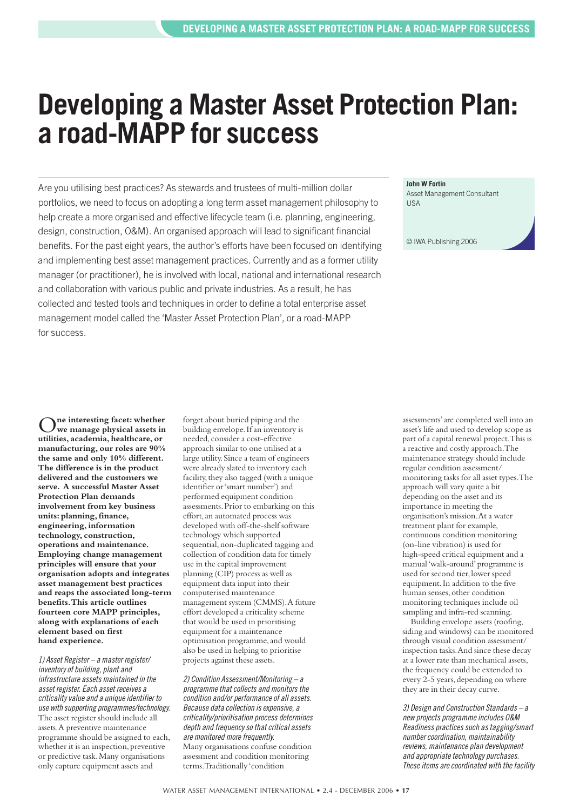## **Developing a Master Asset Protection Plan: a road-MAPP for success**

Are you utilising best practices? As stewards and trustees of multi-million dollar portfolios, we need to focus on adopting a long term asset management philosophy to help create a more organised and effective lifecycle team (i.e. planning, engineering, design, construction, O&M). An organised approach will lead to significant financial benefits. For the past eight years, the author's efforts have been focused on identifying and implementing best asset management practices. Currently and as a former utility manager (or practitioner), he is involved with local, national and international research and collaboration with various public and private industries. As a result, he has collected and tested tools and techniques in order to define a total enterprise asset management model called the 'Master Asset Protection Plan', or a road-MAPP for success.

**John W Fortin**

Asset Management Consultant **LISA** 

© IWA Publishing 2006

O**ne interesting facet: whether we manage physical assets in utilities, academia, healthcare, or manufacturing, our roles are 90% the same and only 10% different. The difference is in the product delivered and the customers we serve. A successful Master Asset Protection Plan demands involvement from key business units: planning, finance, engineering, information technology, construction, operations and maintenance. Employing change management principles will ensure that your organisation adopts and integrates asset management best practices and reaps the associated long-term benefits. This article outlines fourteen core MAPP principles, along with explanations of each element based on first hand experience.** 

1) Asset Register – a master register/ inventory of building, plant and infrastructure assets maintained in the asset register. Each asset receives a criticality value and a unique identifier to use with supporting programmes/technology. The asset register should include all assets. A preventive maintenance programme should be assigned to each, whether it is an inspection, preventive or predictive task. Many organisations only capture equipment assets and

forget about buried piping and the building envelope. If an inventory is needed, consider a cost-effective approach similar to one utilised at a large utility. Since a team of engineers were already slated to inventory each facility, they also tagged (with a unique identifier or 'smart number') and performed equipment condition assessments. Prior to embarking on this effort, an automated process was developed with off-the-shelf software technology which supported sequential, non-duplicated tagging and collection of condition data for timely use in the capital improvement planning (CIP) process as well as equipment data input into their computerised maintenance management system (CMMS). A future effort developed a criticality scheme that would be used in prioritising equipment for a maintenance optimisation programme, and would also be used in helping to prioritise projects against these assets.

2) Condition Assessment/Monitoring – a programme that collects and monitors the condition and/or performance of all assets. Because data collection is expensive, a criticality/prioritisation process determines depth and frequency so that critical assets are monitored more frequently. Many organisations confuse condition assessment and condition monitoring terms. Traditionally 'condition

assessments' are completed well into an asset's life and used to develop scope as part of a capital renewal project. This is a reactive and costly approach. The maintenance strategy should include regular condition assessment/ monitoring tasks for all asset types. The approach will vary quite a bit depending on the asset and its importance in meeting the organisation's mission. At a water treatment plant for example, continuous condition monitoring (on-line vibration) is used for high-speed critical equipment and a manual 'walk-around' programme is used for second tier, lower speed equipment. In addition to the five human senses, other condition monitoring techniques include oil sampling and infra-red scanning.

Building envelope assets (roofing, siding and windows) can be monitored through visual condition assessment/ inspection tasks. And since these decay at a lower rate than mechanical assets, the frequency could be extended to every 2-5 years, depending on where they are in their decay curve.

3) Design and Construction Standards – a new projects programme includes O&M Readiness practices such as tagging/smart number coordination, maintainability reviews, maintenance plan development and appropriate technology purchases. These items are coordinated with the facility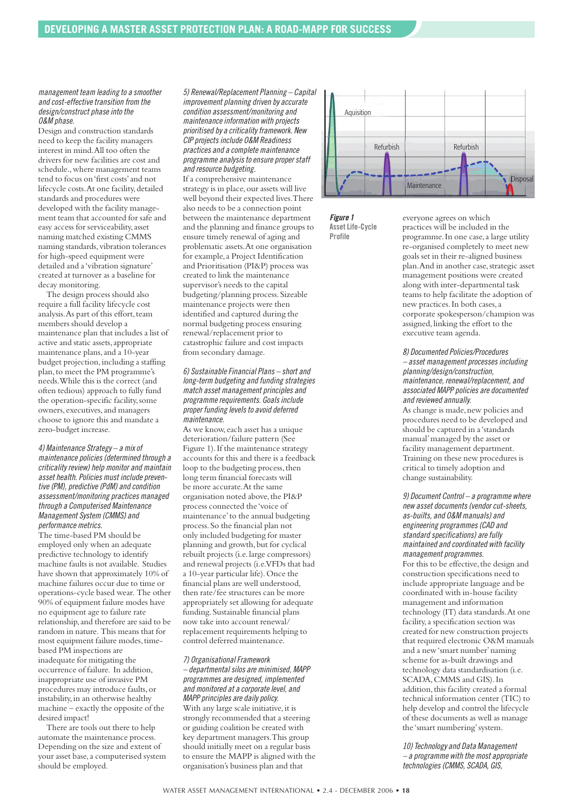#### management team leading to a smoother and cost-effective transition from the design/construct phase into the O&M phase.

Design and construction standards need to keep the facility managers interest in mind. All too often the drivers for new facilities are cost and schedule., where management teams tend to focus on 'first costs' and not lifecycle costs. At one facility, detailed standards and procedures were developed with the facility management team that accounted for safe and easy access for serviceability, asset naming matched existing CMMS naming standards, vibration tolerances for high-speed equipment were detailed and a 'vibration signature' created at turnover as a baseline for decay monitoring.

The design process should also require a full facility lifecycle cost analysis. As part of this effort, team members should develop a maintenance plan that includes a list of active and static assets, appropriate maintenance plans, and a 10-year budget projection, including a staffing plan, to meet the PM programme's needs. While this is the correct (and often tedious) approach to fully fund the operation-specific facility, some owners, executives, and managers choose to ignore this and mandate a zero-budget increase.

4) Maintenance Strategy – a mix of maintenance policies (determined through a criticality review) help monitor and maintain asset health. Policies must include preventive (PM), predictive (PdM) and condition assessment/monitoring practices managed through a Computerised Maintenance Management System (CMMS) and performance metrics.

The time-based PM should be employed only when an adequate predictive technology to identify machine faults is not available. Studies have shown that approximately 10% of machine failures occur due to time or operations-cycle based wear. The other 90% of equipment failure modes have no equipment age to failure rate relationship, and therefore are said to be random in nature. This means that for most equipment failure modes, timebased PM inspections are inadequate for mitigating the occurrence of failure. In addition, inappropriate use of invasive PM procedures may introduce faults, or instability, in an otherwise healthy machine – exactly the opposite of the desired impact!

There are tools out there to help automate the maintenance process. Depending on the size and extent of your asset base, a computerised system should be employed.

5) Renewal/Replacement Planning – Capital improvement planning driven by accurate condition assessment/monitoring and maintenance information with projects prioritised by a criticality framework. New CIP projects include O&M Readiness practices and a complete maintenance programme analysis to ensure proper staff and resource budgeting.

If a comprehensive maintenance strategy is in place, our assets will live well beyond their expected lives. There also needs to be a connection point between the maintenance department and the planning and finance groups to ensure timely renewal of aging and problematic assets. At one organisation for example, a Project Identification and Prioritisation (PI&P) process was created to link the maintenance supervisor's needs to the capital budgeting/planning process. Sizeable maintenance projects were then identified and captured during the normal budgeting process ensuring renewal/replacement prior to catastrophic failure and cost impacts from secondary damage.

6) Sustainable Financial Plans – short and long-term budgeting and funding strategies match asset management principles and programme requirements. Goals include proper funding levels to avoid deferred maintenance.

As we know, each asset has a unique deterioration/failure pattern (See Figure 1). If the maintenance strategy accounts for this and there is a feedback loop to the budgeting process, then long term financial forecasts will be more accurate. At the same organisation noted above, the PI&P process connected the 'voice of maintenance' to the annual budgeting process. So the financial plan not only included budgeting for master planning and growth, but for cyclical rebuilt projects (i.e. large compressors) and renewal projects (i.e. VFDs that had a 10-year particular life). Once the financial plans are well understood, then rate/fee structures can be more appropriately set allowing for adequate funding. Sustainable financial plans now take into account renewal/ replacement requirements helping to control deferred maintenance.

#### 7) Organisational Framework

– departmental silos are minimised, MAPP programmes are designed, implemented and monitored at a corporate level, and MAPP principles are daily policy. With any large scale initiative, it is strongly recommended that a steering or guiding coalition be created with key department managers. This group should initially meet on a regular basis to ensure the MAPP is aligned with the organisation's business plan and that



**Figure 1 Asset Life-Cycle Profile**

everyone agrees on which practices will be included in the programme. In one case, a large utility re-organised completely to meet new goals set in their re-aligned business plan. And in another case, strategic asset management positions were created along with inter-departmental task teams to help facilitate the adoption of new practices. In both cases, a corporate spokesperson/champion was assigned, linking the effort to the executive team agenda.

8) Documented Policies/Procedures – asset management processes including planning/design/construction, maintenance, renewal/replacement, and associated MAPP policies are documented and reviewed annually.

As change is made, new policies and procedures need to be developed and should be captured in a 'standards manual' managed by the asset or facility management department. Training on these new procedures is critical to timely adoption and change sustainability.

9) Document Control – a programme where new asset documents (vendor cut-sheets, as-builts, and O&M manuals) and engineering programmes (CAD and standard specifications) are fully maintained and coordinated with facility management programmes.

For this to be effective, the design and construction specifications need to include appropriate language and be coordinated with in-house facility management and information technology (IT) data standards. At one facility, a specification section was created for new construction projects that required electronic O&M manuals and a new 'smart number' naming scheme for as-built drawings and technology data standardisation (i.e. SCADA, CMMS and GIS). In addition, this facility created a formal technical information center (TIC) to help develop and control the lifecycle of these documents as well as manage the 'smart numbering' system.

10) Technology and Data Management – a programme with the most appropriate technologies (CMMS, SCADA, GIS,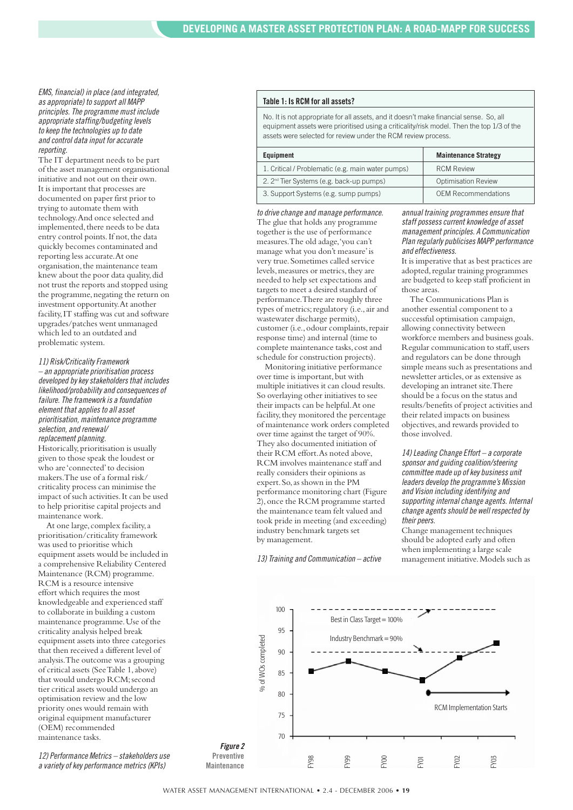#### EMS, financial) in place (and integrated, as appropriate) to support all MAPP principles. The programme must include appropriate staffing/budgeting levels to keep the technologies up to date and control data input for accurate reporting.

The IT department needs to be part of the asset management organisational initiative and not out on their own. It is important that processes are documented on paper first prior to trying to automate them with technology. And once selected and implemented, there needs to be data entry control points. If not, the data quickly becomes contaminated and reporting less accurate. At one organisation, the maintenance team knew about the poor data quality, did not trust the reports and stopped using the programme, negating the return on investment opportunity. At another facility, IT staffing was cut and software upgrades/patches went unmanaged which led to an outdated and problematic system.

#### 11) Risk/Criticality Framework

– an appropriate prioritisation process developed by key stakeholders that includes likelihood/probability and consequences of failure. The framework is a foundation element that applies to all asset prioritisation, maintenance programme selection, and renewal/ replacement planning. Historically, prioritisation is usually given to those speak the loudest or who are 'connected' to decision makers. The use of a formal risk/ criticality process can minimise the impact of such activities. It can be used to help prioritise capital projects and maintenance work.

At one large, complex facility, a prioritisation/criticality framework was used to prioritise which equipment assets would be included in a comprehensive Reliability Centered Maintenance (RCM) programme. RCM is a resource intensive effort which requires the most knowledgeable and experienced staff to collaborate in building a custom maintenance programme. Use of the criticality analysis helped break equipment assets into three categories that then received a different level of analysis. The outcome was a grouping of critical assets (See Table 1, above) that would undergo RCM; second tier critical assets would undergo an optimisation review and the low priority ones would remain with original equipment manufacturer (OEM) recommended maintenance tasks.

12) Performance Metrics – stakeholders use a variety of key performance metrics (KPIs)

#### **Table 1: Is RCM for all assets?**

No. It is not appropriate for all assets, and it doesn't make financial sense. So, all equipment assets were prioritised using a criticality/risk model. Then the top 1/3 of the assets were selected for review under the RCM review process.

| Equipment                                            | <b>Maintenance Strategy</b> |
|------------------------------------------------------|-----------------------------|
| 1. Critical / Problematic (e.g. main water pumps)    | <b>RCM Review</b>           |
| 2. 2 <sup>nd</sup> Tier Systems (e.g. back-up pumps) | <b>Optimisation Review</b>  |
| 3. Support Systems (e.g. sump pumps)                 | <b>OEM Recommendations</b>  |

to drive change and manage performance. The glue that holds any programme together is the use of performance measures. The old adage, 'you can't manage what you don't measure' is very true. Sometimes called service levels, measures or metrics, they are needed to help set expectations and targets to meet a desired standard of performance. There are roughly three types of metrics; regulatory (i.e., air and wastewater discharge permits), customer (i.e., odour complaints, repair response time) and internal (time to complete maintenance tasks, cost and schedule for construction projects).

Monitoring initiative performance over time is important, but with multiple initiatives it can cloud results. So overlaying other initiatives to see their impacts can be helpful. At one facility, they monitored the percentage of maintenance work orders completed over time against the target of 90%. They also documented initiation of their RCM effort. As noted above, RCM involves maintenance staff and really considers their opinions as expert. So, as shown in the PM performance monitoring chart (Figure 2), once the RCM programme started the maintenance team felt valued and took pride in meeting (and exceeding) industry benchmark targets set by management.

13) Training and Communication – active

annual training programmes ensure that staff possess current knowledge of asset management principles. A Communication Plan regularly publicises MAPP performance and effectiveness.

It is imperative that as best practices are adopted, regular training programmes are budgeted to keep staff proficient in those areas.

The Communications Plan is another essential component to a successful optimisation campaign, allowing connectivity between workforce members and business goals. Regular communication to staff, users and regulators can be done through simple means such as presentations and newsletter articles, or as extensive as developing an intranet site. There should be a focus on the status and results/benefits of project activities and their related impacts on business objectives, and rewards provided to those involved.

14) Leading Change Effort – a corporate sponsor and guiding coalition/steering committee made up of key business unit leaders develop the programme's Mission and Vision including identifying and supporting internal change agents. Internal change agents should be well respected by their peers.

Change management techniques should be adopted early and often when implementing a large scale management initiative. Models such as